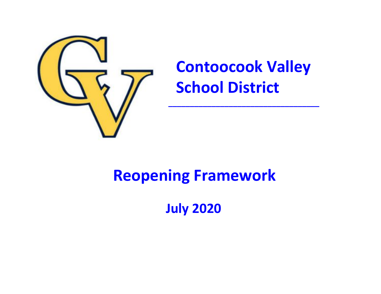

# **Contoocook Valley School District**

 **\_\_\_\_\_\_\_\_\_\_\_\_\_\_\_\_\_\_\_\_\_\_\_\_\_\_\_\_\_\_\_\_\_\_\_**

## **Reopening Framework**

 **July 2020**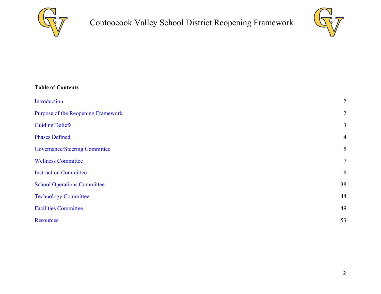



| <b>Table of Contents</b>             |                |
|--------------------------------------|----------------|
| Introduction                         | $\overline{2}$ |
| Purpose of the Reopening Framework   | $\overline{2}$ |
| <b>Guiding Beliefs</b>               | $\mathfrak{Z}$ |
| <b>Phases Defined</b>                | $\overline{4}$ |
| <b>Governance/Steering Committee</b> | 5              |
| <b>Wellness Committee</b>            | $\overline{7}$ |
| <b>Instruction Committee</b>         | 18             |
| <b>School Operations Committee</b>   | 38             |
| <b>Technology Committee</b>          | 44             |
| <b>Facilities Committee</b>          | 49             |
| <b>Resources</b>                     | 53             |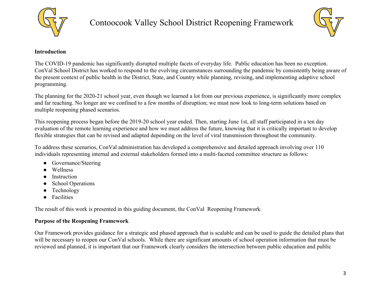



#### <span id="page-2-0"></span>**Introduction**

The COVID-19 pandemic has significantly disrupted multiple facets of everyday life. Public education has been no exception. ConVal School District has worked to respond to the evolving circumstances surrounding the pandemic by consistently being aware of the present context of public health in the District, State, and Country while planning, revising, and implementing adaptive school programming.

The planning for the 2020-21 school year, even though we learned a lot from our previous experience, is significantly more complex and far reaching. No longer are we confined to a few months of disruption; we must now look to long-term solutions based on multiple reopening phased scenarios.

This reopening process began before the 2019-20 school year ended. Then, starting June 1st, all staff participated in a ten day evaluation of the remote learning experience and how we must address the future, knowing that it is critically important to develop flexible strategies that can be revised and adapted depending on the level of viral transmission throughout the community.

To address these scenarios, ConVal administration has developed a comprehensive and detailed approach involving over 110 individuals representing internal and external stakeholders formed into a multi-faceted committee structure as follows:

- Governance/Steering
- Wellness
- Instruction
- **School Operations**
- Technology
- Facilities

The result of this work is presented in this guiding document, the ConVal Reopening Framework.

#### <span id="page-2-1"></span>**Purpose of the Reopening Framework**

Our Framework provides guidance for a strategic and phased approach that is scalable and can be used to guide the detailed plans that will be necessary to reopen our ConVal schools. While there are significant amounts of school operation information that must be reviewed and planned, it is important that our Framework clearly considers the intersection between public education and public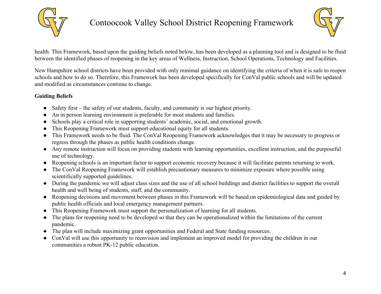



health. This Framework, based upon the guiding beliefs noted below, has been developed as a planning tool and is designed to be fluid between the identified phases of reopening in the key areas of Wellness, Instruction, School Operations, Technology and Facilities.

New Hampshire school districts have been provided with only minimal guidance on identifying the criteria of when it is safe to reopen schools and how to do so. Therefore, this Framework has been developed specifically for ConVal public schools and will be updated and modified as circumstances continue to change.

### <span id="page-3-0"></span>**Guiding Beliefs**

- Safety first the safety of our students, faculty, and community is our highest priority.
- An in person learning environment is preferable for most students and families.
- Schools play a critical role in supporting students' academic, social, and emotional growth.
- This Reopening Framework must support educational equity for all students.
- This Framework needs to be fluid. The ConVal Reopening Framework acknowledges that it may be necessary to progress or regress through the phases as public health conditions change.
- Any remote instruction will focus on providing students with learning opportunities, excellent instruction, and the purposeful use of technology.
- Reopening schools is an important factor to support economic recovery because it will facilitate parents returning to work.
- The ConVal Reopening Framework will establish precautionary measures to minimize exposure where possible using scientifically supported guidelines.
- During the pandemic we will adjust class sizes and the use of all school buildings and district facilities to support the overall health and well being of students, staff, and the community.
- Reopening decisions and movement between phases in this Framework will be based on epidemiological data and guided by public health officials and local emergency management partners.
- This Reopening Framework must support the personalization of learning for all students.
- The plans for reopening need to be developed so that they can be operationalized within the limitations of the current pandemic.
- The plan will include maximizing grant opportunities and Federal and State funding resources.
- ConVal will use this opportunity to reenvision and implement an improved model for providing the children in our communities a robust PK-12 public education.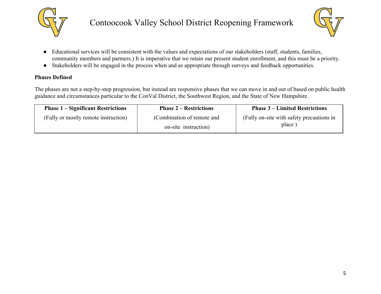



- Educational services will be consistent with the values and expectations of our stakeholders (staff, students, families, community members and partners.) It is imperative that we retain our present student enrollment, and this must be a priority.
- Stakeholders will be engaged in the process when and as appropriate through surveys and feedback opportunities.

#### <span id="page-4-0"></span>**Phases Defined**

The phases are not a step-by-step progression, but instead are responsive phases that we can move in and out of based on public health guidance and circumstances particular to the ConVal District, the Southwest Region, and the State of New Hampshire.

| <b>Phase 1 – Significant Restrictions</b> | <b>Phase 2 – Restrictions</b>                      | <b>Phase 3 – Limited Restrictions</b>               |
|-------------------------------------------|----------------------------------------------------|-----------------------------------------------------|
| (Fully or mostly remote instruction)      | (Combination of remote and<br>on-site instruction) | (Fully on-site with safety precautions in<br>place) |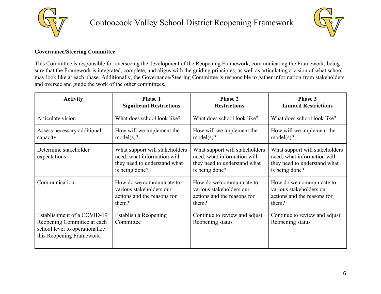



#### <span id="page-5-0"></span>**Governance/Steering Committee**

This Committee is responsible for overseeing the development of the Reopening Framework, communicating the Framework, being sure that the Framework is integrated, complete, and aligns with the guiding principles, as well as articulating a vision of what school may look like at each phase. Additionally, the Governance/Steering Committee is responsible to gather information from stakeholders and oversee and guide the work of the other committees.

| <b>Activity</b>                                                                                                          | <b>Phase 1</b>                                                                                                  | <b>Phase 2</b>                                                                                                  | Phase 3                                                                                                         |
|--------------------------------------------------------------------------------------------------------------------------|-----------------------------------------------------------------------------------------------------------------|-----------------------------------------------------------------------------------------------------------------|-----------------------------------------------------------------------------------------------------------------|
|                                                                                                                          | <b>Significant Restrictions</b>                                                                                 | <b>Restrictions</b>                                                                                             | <b>Limited Restrictions</b>                                                                                     |
| Articulate vision                                                                                                        | What does school look like?                                                                                     | What does school look like?                                                                                     | What does school look like?                                                                                     |
| Assess necessary additional                                                                                              | How will we implement the                                                                                       | How will we implement the                                                                                       | How will we implement the                                                                                       |
| capacity                                                                                                                 | model(s)?                                                                                                       | model(s)?                                                                                                       | model(s)?                                                                                                       |
| Determine stakeholder<br>expectations                                                                                    | What support will stakeholders<br>need; what information will<br>they need to understand what<br>is being done? | What support will stakeholders<br>need; what information will<br>they need to understand what<br>is being done? | What support will stakeholders<br>need; what information will<br>they need to understand what<br>is being done? |
| Communication                                                                                                            | How do we communicate to                                                                                        | How do we communicate to                                                                                        | How do we communicate to                                                                                        |
|                                                                                                                          | various stakeholders our                                                                                        | various stakeholders our                                                                                        | various stakeholders our                                                                                        |
|                                                                                                                          | actions and the reasons for                                                                                     | actions and the reasons for                                                                                     | actions and the reasons for                                                                                     |
|                                                                                                                          | them?                                                                                                           | them?                                                                                                           | them?                                                                                                           |
| Establishment of a COVID-19<br>Reopening Committee at each<br>school level to operationalize<br>this Reopening Framework | Establish a Reopening<br>Committee                                                                              | Continue to review and adjust<br>Reopening status                                                               | Continue to review and adjust<br>Reopening status                                                               |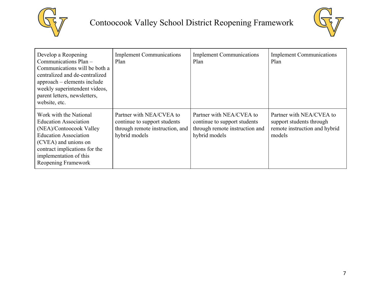



| Develop a Reopening<br>Communications Plan -<br>Communications will be both a<br>centralized and de-centralized<br>approach – elements include<br>weekly superintendent videos,<br>parent letters, newsletters,<br>website, etc. | <b>Implement Communications</b><br>Plan                                                                      | <b>Implement Communications</b><br>Plan                                                                     | <b>Implement Communications</b><br>Plan                                                         |
|----------------------------------------------------------------------------------------------------------------------------------------------------------------------------------------------------------------------------------|--------------------------------------------------------------------------------------------------------------|-------------------------------------------------------------------------------------------------------------|-------------------------------------------------------------------------------------------------|
| Work with the National<br><b>Education Association</b><br>(NEA)/Contoocook Valley<br><b>Education Association</b><br>(CVEA) and unions on<br>contract implications for the<br>implementation of this<br>Reopening Framework      | Partner with NEA/CVEA to<br>continue to support students<br>through remote instruction, and<br>hybrid models | Partner with NEA/CVEA to<br>continue to support students<br>through remote instruction and<br>hybrid models | Partner with NEA/CVEA to<br>support students through<br>remote instruction and hybrid<br>models |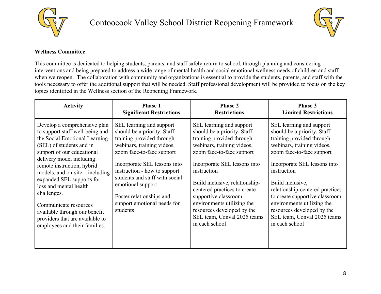



### <span id="page-7-0"></span>**Wellness Committee**

This committee is dedicated to helping students, parents, and staff safely return to school, through planning and considering interventions and being prepared to address a wide range of mental health and social emotional wellness needs of children and staff when we reopen. The collaboration with community and organizations is essential to provide the students, parents, and staff with the tools necessary to offer the additional support that will be needed. Staff professional development will be provided to focus on the key topics identified in the Wellness section of the Reopening Framework.

| <b>Activity</b>                                                                                                                                                                                                                                                                                                                                                                                                                                                | Phase 1                                                                                                                                                                                                                                                                                                                                       | <b>Phase 2</b>                                                                                                                                                                                                                                                                                                                                                                                        | Phase 3                                                                                                                                                                                                                                                                                                                                                                                              |
|----------------------------------------------------------------------------------------------------------------------------------------------------------------------------------------------------------------------------------------------------------------------------------------------------------------------------------------------------------------------------------------------------------------------------------------------------------------|-----------------------------------------------------------------------------------------------------------------------------------------------------------------------------------------------------------------------------------------------------------------------------------------------------------------------------------------------|-------------------------------------------------------------------------------------------------------------------------------------------------------------------------------------------------------------------------------------------------------------------------------------------------------------------------------------------------------------------------------------------------------|------------------------------------------------------------------------------------------------------------------------------------------------------------------------------------------------------------------------------------------------------------------------------------------------------------------------------------------------------------------------------------------------------|
|                                                                                                                                                                                                                                                                                                                                                                                                                                                                | <b>Significant Restrictions</b>                                                                                                                                                                                                                                                                                                               | <b>Restrictions</b>                                                                                                                                                                                                                                                                                                                                                                                   | <b>Limited Restrictions</b>                                                                                                                                                                                                                                                                                                                                                                          |
| Develop a comprehensive plan<br>to support staff well-being and<br>the Social Emotional Learning<br>(SEL) of students and in<br>support of our educational<br>delivery model including:<br>remote instruction, hybrid<br>models, and on-site $-$ including<br>expanded SEL supports for<br>loss and mental health<br>challenges.<br>Communicate resources<br>available through our benefit<br>providers that are available to<br>employees and their families. | SEL learning and support<br>should be a priority. Staff<br>training provided through<br>webinars, training videos,<br>zoom face-to-face support<br>Incorporate SEL lessons into<br>instruction - how to support<br>students and staff with social<br>emotional support<br>Foster relationships and<br>support emotional needs for<br>students | SEL learning and support<br>should be a priority. Staff<br>training provided through<br>webinars, training videos,<br>zoom face-to-face support<br>Incorporate SEL lessons into<br>instruction<br>Build inclusive, relationship-<br>centered practices to create<br>supportive classroom<br>environments utilizing the<br>resources developed by the<br>SEL team, Conval 2025 teams<br>in each school | SEL learning and support<br>should be a priority. Staff<br>training provided through<br>webinars, training videos,<br>zoom face-to-face support<br>Incorporate SEL lessons into<br>instruction<br>Build inclusive,<br>relationship-centered practices<br>to create supportive classroom<br>environments utilizing the<br>resources developed by the<br>SEL team, Conval 2025 teams<br>in each school |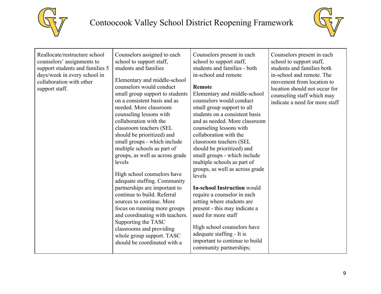



| Reallocate/restructure school<br>Counselors assigned to each<br>counselors' assignments to<br>school to support staff,<br>support students and families 5<br>students and families<br>days/week in every school in<br>Elementary and middle-school<br>collaboration with other<br>counselors would conduct<br>support staff.<br>small group support to students<br>on a consistent basis and as<br>needed. More classroom<br>counseling lessons with<br>collaboration with the<br>classroom teachers (SEL<br>should be prioritized) and<br>small groups - which include<br>multiple schools as part of<br>groups, as well as across grade<br>levels<br>High school counselors have<br>adequate staffing. Community<br>partnerships are important to<br>continue to build. Referral<br>sources to continue. More<br>focus on running more groups<br>and coordinating with teachers.<br>Supporting the TASC<br>classrooms and providing<br>whole group support. TASC<br>should be coordinated with a | Counselors present in each<br>school to support staff,<br>students and families - both<br>in-school and remote<br><b>Remote</b><br>Elementary and middle-school<br>counselors would conduct<br>small group support to all<br>students on a consistent basis<br>and as needed. More classroom<br>counseling lessons with<br>collaboration with the<br>classroom teachers (SEL<br>should be prioritized) and<br>small groups - which include<br>multiple schools as part of<br>groups, as well as across grade<br>levels<br><b>In-school Instruction would</b><br>require a counselor in each<br>setting where students are<br>present - this may indicate a<br>need for more staff<br>High school counselors have<br>adequate staffing - It is<br>important to continue to build<br>community partnerships; | Counselors present in each<br>school to support staff,<br>students and families both<br>in-school and remote. The<br>movement from location to<br>location should not occur for<br>counseling staff which may<br>indicate a need for more staff |
|----------------------------------------------------------------------------------------------------------------------------------------------------------------------------------------------------------------------------------------------------------------------------------------------------------------------------------------------------------------------------------------------------------------------------------------------------------------------------------------------------------------------------------------------------------------------------------------------------------------------------------------------------------------------------------------------------------------------------------------------------------------------------------------------------------------------------------------------------------------------------------------------------------------------------------------------------------------------------------------------------|------------------------------------------------------------------------------------------------------------------------------------------------------------------------------------------------------------------------------------------------------------------------------------------------------------------------------------------------------------------------------------------------------------------------------------------------------------------------------------------------------------------------------------------------------------------------------------------------------------------------------------------------------------------------------------------------------------------------------------------------------------------------------------------------------------|-------------------------------------------------------------------------------------------------------------------------------------------------------------------------------------------------------------------------------------------------|
|----------------------------------------------------------------------------------------------------------------------------------------------------------------------------------------------------------------------------------------------------------------------------------------------------------------------------------------------------------------------------------------------------------------------------------------------------------------------------------------------------------------------------------------------------------------------------------------------------------------------------------------------------------------------------------------------------------------------------------------------------------------------------------------------------------------------------------------------------------------------------------------------------------------------------------------------------------------------------------------------------|------------------------------------------------------------------------------------------------------------------------------------------------------------------------------------------------------------------------------------------------------------------------------------------------------------------------------------------------------------------------------------------------------------------------------------------------------------------------------------------------------------------------------------------------------------------------------------------------------------------------------------------------------------------------------------------------------------------------------------------------------------------------------------------------------------|-------------------------------------------------------------------------------------------------------------------------------------------------------------------------------------------------------------------------------------------------|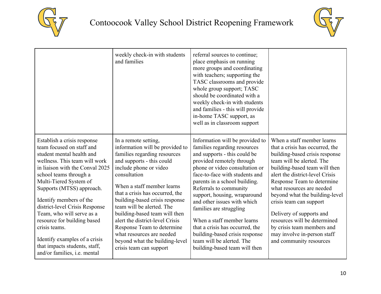



|                                                                                                                                                                                                                                                                                                                                                                                                                                                                                        | weekly check-in with students<br>and families                                                                                                                                                                                                                                                                                                                                                                                                                                              | referral sources to continue;<br>place emphasis on running<br>more groups and coordinating<br>with teachers; supporting the<br>TASC classrooms and provide<br>whole group support; TASC<br>should be coordinated with a<br>weekly check-in with students<br>and families - this will provide<br>in-home TASC support, as<br>well as in classroom support                                                                                                                                                               |                                                                                                                                                                                                                                                                                                                                                                                                                                                                              |
|----------------------------------------------------------------------------------------------------------------------------------------------------------------------------------------------------------------------------------------------------------------------------------------------------------------------------------------------------------------------------------------------------------------------------------------------------------------------------------------|--------------------------------------------------------------------------------------------------------------------------------------------------------------------------------------------------------------------------------------------------------------------------------------------------------------------------------------------------------------------------------------------------------------------------------------------------------------------------------------------|------------------------------------------------------------------------------------------------------------------------------------------------------------------------------------------------------------------------------------------------------------------------------------------------------------------------------------------------------------------------------------------------------------------------------------------------------------------------------------------------------------------------|------------------------------------------------------------------------------------------------------------------------------------------------------------------------------------------------------------------------------------------------------------------------------------------------------------------------------------------------------------------------------------------------------------------------------------------------------------------------------|
| Establish a crisis response<br>team focused on staff and<br>student mental health and<br>wellness. This team will work<br>in liaison with the Conval 2025<br>school teams through a<br>Multi-Tiered System of<br>Supports (MTSS) approach.<br>Identify members of the<br>district-level Crisis Response<br>Team, who will serve as a<br>resource for building based<br>crisis teams.<br>Identify examples of a crisis<br>that impacts students, staff,<br>and/or families, i.e. mental | In a remote setting,<br>information will be provided to<br>families regarding resources<br>and supports - this could<br>include phone or video<br>consultation<br>When a staff member learns<br>that a crisis has occurred, the<br>building-based crisis response<br>team will be alerted. The<br>building-based team will then<br>alert the district-level Crisis<br>Response Team to determine<br>what resources are needed<br>beyond what the building-level<br>crisis team can support | Information will be provided to<br>families regarding resources<br>and supports - this could be<br>provided remotely through<br>phone or video consultation or<br>face-to-face with students and<br>parents in a school building.<br>Referrals to community<br>support, housing, wraparound<br>and other issues with which<br>families are struggling<br>When a staff member learns<br>that a crisis has occurred, the<br>building-based crisis response<br>team will be alerted. The<br>building-based team will then | When a staff member learns<br>that a crisis has occurred, the<br>building-based crisis response<br>team will be alerted. The<br>building-based team will then<br>alert the district-level Crisis<br>Response Team to determine<br>what resources are needed<br>beyond what the building-level<br>crisis team can support<br>Delivery of supports and<br>resources will be determined<br>by crisis team members and<br>may involve in-person staff<br>and community resources |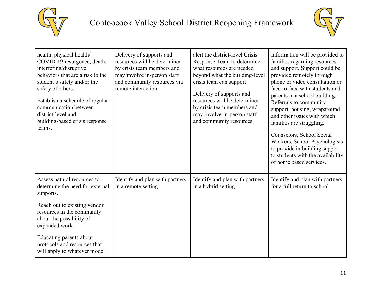



| health, physical health/<br>COVID-19 resurgence, death,<br>interfering/disruptive<br>behaviors that are a risk to the<br>student's safety and/or the<br>safety of others.<br>Establish a schedule of regular<br>communication between<br>district-level and<br>building-based crisis response<br>teams. | Delivery of supports and<br>resources will be determined<br>by crisis team members and<br>may involve in-person staff<br>and community resources via<br>remote interaction | alert the district-level Crisis<br>Response Team to determine<br>what resources are needed<br>beyond what the building-level<br>crisis team can support<br>Delivery of supports and<br>resources will be determined<br>by crisis team members and<br>may involve in-person staff<br>and community resources | Information will be provided to<br>families regarding resources<br>and support. Support could be<br>provided remotely through<br>phone or video consultation or<br>face-to-face with students and<br>parents in a school building.<br>Referrals to community<br>support, housing, wraparound<br>and other issues with which<br>families are struggling.<br>Counselors, School Social<br>Workers, School Psychologists<br>to provide in building support<br>to students with the availability<br>of home based services. |
|---------------------------------------------------------------------------------------------------------------------------------------------------------------------------------------------------------------------------------------------------------------------------------------------------------|----------------------------------------------------------------------------------------------------------------------------------------------------------------------------|-------------------------------------------------------------------------------------------------------------------------------------------------------------------------------------------------------------------------------------------------------------------------------------------------------------|-------------------------------------------------------------------------------------------------------------------------------------------------------------------------------------------------------------------------------------------------------------------------------------------------------------------------------------------------------------------------------------------------------------------------------------------------------------------------------------------------------------------------|
| Assess natural resources to<br>determine the need for external<br>supports.                                                                                                                                                                                                                             | Identify and plan with partners<br>in a remote setting                                                                                                                     | Identify and plan with partners<br>in a hybrid setting                                                                                                                                                                                                                                                      | Identify and plan with partners<br>for a full return to school                                                                                                                                                                                                                                                                                                                                                                                                                                                          |
| Reach out to existing vendor<br>resources in the community<br>about the possibility of<br>expanded work.                                                                                                                                                                                                |                                                                                                                                                                            |                                                                                                                                                                                                                                                                                                             |                                                                                                                                                                                                                                                                                                                                                                                                                                                                                                                         |
| Educating parents about<br>protocols and resources that<br>will apply to whatever model                                                                                                                                                                                                                 |                                                                                                                                                                            |                                                                                                                                                                                                                                                                                                             |                                                                                                                                                                                                                                                                                                                                                                                                                                                                                                                         |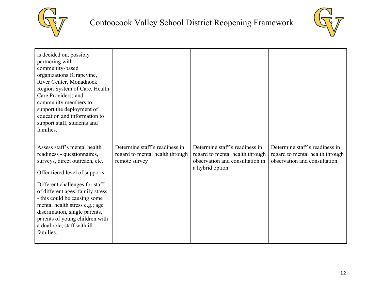



| is decided on, possibly<br>partnering with<br>community-based<br>organizations (Grapevine,<br>River Center, Monadnock<br>Region System of Care, Health<br>Care Providers) and<br>community members to<br>support the deployment of<br>education and information to<br>support staff, students and<br>families.                                                                          |                                                                                    |                                                                                                                         |                                                                                                   |
|-----------------------------------------------------------------------------------------------------------------------------------------------------------------------------------------------------------------------------------------------------------------------------------------------------------------------------------------------------------------------------------------|------------------------------------------------------------------------------------|-------------------------------------------------------------------------------------------------------------------------|---------------------------------------------------------------------------------------------------|
| Assess staff's mental health<br>readiness - questionnaires,<br>surveys, direct outreach, etc.<br>Offer tiered level of supports.<br>Different challenges for staff<br>of different ages, family stress<br>- this could be causing some<br>mental health stress e.g.; age<br>discrimation, single parents,<br>parents of young children with<br>a dual role, staff with ill<br>families. | Determine staff's readiness in<br>regard to mental health through<br>remote survey | Determine staff's readiness in<br>regard to mental health through<br>observation and consultation in<br>a hybrid option | Determine staff's readiness in<br>regard to mental health through<br>observation and consultation |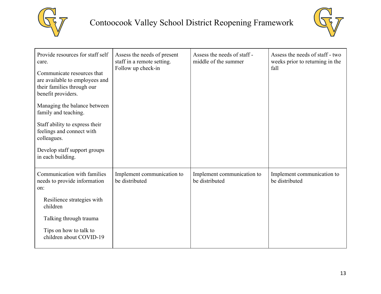



| Provide resources for staff self<br>care.<br>Communicate resources that<br>are available to employees and<br>their families through our<br>benefit providers.<br>Managing the balance between<br>family and teaching.<br>Staff ability to express their<br>feelings and connect with<br>colleagues.<br>Develop staff support groups<br>in each building. | Assess the needs of present<br>staff in a remote setting.<br>Follow up check-in | Assess the needs of staff -<br>middle of the summer | Assess the needs of staff - two<br>weeks prior to returning in the<br>fall |
|----------------------------------------------------------------------------------------------------------------------------------------------------------------------------------------------------------------------------------------------------------------------------------------------------------------------------------------------------------|---------------------------------------------------------------------------------|-----------------------------------------------------|----------------------------------------------------------------------------|
| Communication with families<br>needs to provide information<br>on:<br>Resilience strategies with<br>children<br>Talking through trauma<br>Tips on how to talk to<br>children about COVID-19                                                                                                                                                              | Implement communication to<br>be distributed                                    | Implement communication to<br>be distributed        | Implement communication to<br>be distributed                               |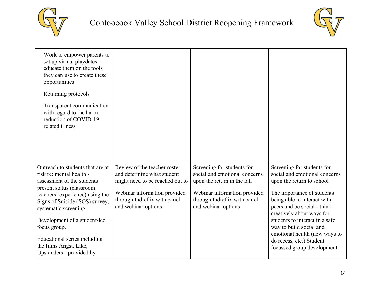



| Work to empower parents to<br>set up virtual playdates -<br>educate them on the tools<br>they can use to create these<br>opportunities<br>Returning protocols<br>Transparent communication<br>with regard to the harm<br>reduction of COVID-19<br>related illness |                                                                                                                                                                                      |                                                                                                                                                                                   |                                                                                                                                                                                                                   |
|-------------------------------------------------------------------------------------------------------------------------------------------------------------------------------------------------------------------------------------------------------------------|--------------------------------------------------------------------------------------------------------------------------------------------------------------------------------------|-----------------------------------------------------------------------------------------------------------------------------------------------------------------------------------|-------------------------------------------------------------------------------------------------------------------------------------------------------------------------------------------------------------------|
| Outreach to students that are at<br>risk re: mental health -<br>assessment of the students'<br>present status (classroom<br>teachers' experience) using the<br>Signs of Suicide (SOS) survey,<br>systematic screening.                                            | Review of the teacher roster<br>and determine what student<br>might need to be reached out to<br>Webinar information provided<br>through Indieflix with panel<br>and webinar options | Screening for students for<br>social and emotional concerns<br>upon the return in the fall<br>Webinar information provided<br>through Indieflix with panel<br>and webinar options | Screening for students for<br>social and emotional concerns<br>upon the return to school<br>The importance of students<br>being able to interact with<br>peers and be social - think<br>creatively about ways for |
| Development of a student-led<br>focus group.                                                                                                                                                                                                                      |                                                                                                                                                                                      |                                                                                                                                                                                   | students to interact in a safe<br>way to build social and                                                                                                                                                         |
| Educational series including<br>the films Angst, Like,<br>Upstanders - provided by                                                                                                                                                                                |                                                                                                                                                                                      |                                                                                                                                                                                   | emotional health (new ways to<br>do recess, etc.) Student<br>focussed group development                                                                                                                           |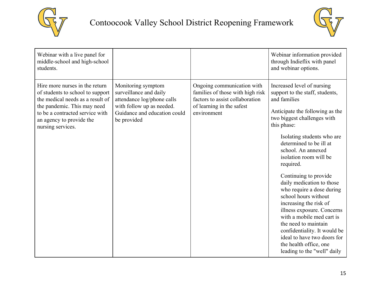



| Webinar with a live panel for<br>middle-school and high-school<br>students.                                                                                                                                               |                                                                                                                                                        |                                                                                                                                               | Webinar information provided<br>through Indieflix with panel<br>and webinar options.                                                                                                                                                                                                                                                                                                                                                                                                                                                                                                                                                 |
|---------------------------------------------------------------------------------------------------------------------------------------------------------------------------------------------------------------------------|--------------------------------------------------------------------------------------------------------------------------------------------------------|-----------------------------------------------------------------------------------------------------------------------------------------------|--------------------------------------------------------------------------------------------------------------------------------------------------------------------------------------------------------------------------------------------------------------------------------------------------------------------------------------------------------------------------------------------------------------------------------------------------------------------------------------------------------------------------------------------------------------------------------------------------------------------------------------|
| Hire more nurses in the return<br>of students to school to support<br>the medical needs as a result of<br>the pandemic. This may need<br>to be a contracted service with<br>an agency to provide the<br>nursing services. | Monitoring symptom<br>surveillance and daily<br>attendance log/phone calls<br>with follow up as needed.<br>Guidance and education could<br>be provided | Ongoing communication with<br>families of those with high risk<br>factors to assist collaboration<br>of learning in the safest<br>environment | Increased level of nursing<br>support to the staff, students,<br>and families<br>Anticipate the following as the<br>two biggest challenges with<br>this phase:<br>Isolating students who are<br>determined to be ill at<br>school. An annexed<br>isolation room will be<br>required.<br>Continuing to provide<br>daily medication to those<br>who require a dose during<br>school hours without<br>increasing the risk of<br>illness exposure. Concerns<br>with a mobile med cart is<br>the need to maintain<br>confidentiality. It would be<br>ideal to have two doors for<br>the health office, one<br>leading to the "well" daily |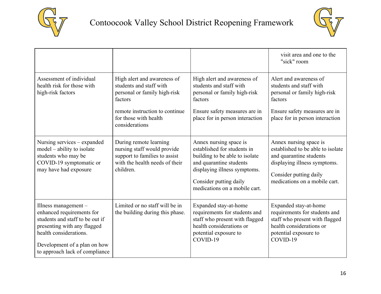



|                                                                                                                                                                                                                   |                                                                                                                                                                                |                                                                                                                                                                                                               | visit area and one to the<br>"sick" room                                                                                                                                          |
|-------------------------------------------------------------------------------------------------------------------------------------------------------------------------------------------------------------------|--------------------------------------------------------------------------------------------------------------------------------------------------------------------------------|---------------------------------------------------------------------------------------------------------------------------------------------------------------------------------------------------------------|-----------------------------------------------------------------------------------------------------------------------------------------------------------------------------------|
| Assessment of individual<br>health risk for those with<br>high-risk factors                                                                                                                                       | High alert and awareness of<br>students and staff with<br>personal or family high-risk<br>factors<br>remote instruction to continue<br>for those with health<br>considerations | High alert and awareness of<br>students and staff with<br>personal or family high-risk<br>factors<br>Ensure safety measures are in<br>place for in person interaction                                         | Alert and awareness of<br>students and staff with<br>personal or family high-risk<br>factors<br>Ensure safety measures are in<br>place for in person interaction                  |
| Nursing services - expanded<br>model – ability to isolate<br>students who may be<br>COVID-19 symptomatic or<br>may have had exposure                                                                              | During remote learning<br>nursing staff would provide<br>support to families to assist<br>with the health needs of their<br>children.                                          | Annex nursing space is<br>established for students in<br>building to be able to isolate<br>and quarantine students<br>displaying illness symptoms.<br>Consider putting daily<br>medications on a mobile cart. | Annex nursing space is<br>established to be able to isolate<br>and quarantine students<br>displaying illness symptoms.<br>Consider putting daily<br>medications on a mobile cart. |
| Illness management $-$<br>enhanced requirements for<br>students and staff to be out if<br>presenting with any flagged<br>health considerations.<br>Development of a plan on how<br>to approach lack of compliance | Limited or no staff will be in<br>the building during this phase.                                                                                                              | Expanded stay-at-home<br>requirements for students and<br>staff who present with flagged<br>health considerations or<br>potential exposure to<br>COVID-19                                                     | Expanded stay-at-home<br>requirements for students and<br>staff who present with flagged<br>health considerations or<br>potential exposure to<br>COVID-19                         |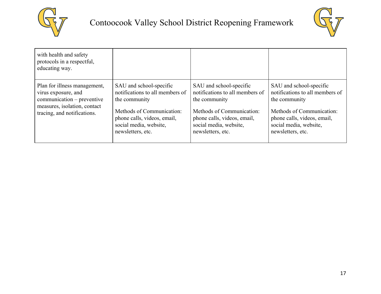



| with health and safety<br>protocols in a respectful,<br>educating way.                                                                           |                                                                                                                                                                                        |                                                                                                                                                                                        |                                                                                                                                                                                        |
|--------------------------------------------------------------------------------------------------------------------------------------------------|----------------------------------------------------------------------------------------------------------------------------------------------------------------------------------------|----------------------------------------------------------------------------------------------------------------------------------------------------------------------------------------|----------------------------------------------------------------------------------------------------------------------------------------------------------------------------------------|
| Plan for illness management,<br>virus exposure, and<br>communication – preventive<br>measures, isolation, contact<br>tracing, and notifications. | SAU and school-specific<br>notifications to all members of<br>the community<br>Methods of Communication:<br>phone calls, videos, email,<br>social media, website,<br>newsletters, etc. | SAU and school-specific<br>notifications to all members of<br>the community<br>Methods of Communication:<br>phone calls, videos, email,<br>social media, website,<br>newsletters, etc. | SAU and school-specific<br>notifications to all members of<br>the community<br>Methods of Communication:<br>phone calls, videos, email,<br>social media, website,<br>newsletters, etc. |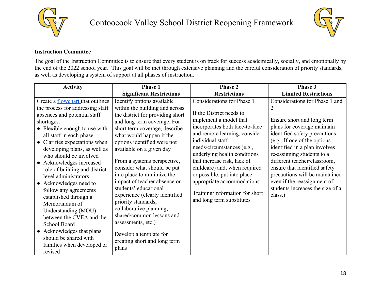



### <span id="page-17-0"></span>**Instruction Committee**

The goal of the Instruction Committee is to ensure that every student is on track for success academically, socially, and emotionally by the end of the 2022 school year. This goal will be met through extensive planning and the careful consideration of priority standards, as well as developing a system of support at all phases of instruction.

| <b>Activity</b>                                                                                                                                                                                                                                                                                                                                                                                                                                             | Phase 1                                                                                                                                                                                                                                                                                                                                                                                                                                                               | <b>Phase 2</b>                                                                                                                                                                                                                                                                                                                                                                                                                    | Phase 3                                                                                                                                                                                                                                                                                                                                                                                                      |
|-------------------------------------------------------------------------------------------------------------------------------------------------------------------------------------------------------------------------------------------------------------------------------------------------------------------------------------------------------------------------------------------------------------------------------------------------------------|-----------------------------------------------------------------------------------------------------------------------------------------------------------------------------------------------------------------------------------------------------------------------------------------------------------------------------------------------------------------------------------------------------------------------------------------------------------------------|-----------------------------------------------------------------------------------------------------------------------------------------------------------------------------------------------------------------------------------------------------------------------------------------------------------------------------------------------------------------------------------------------------------------------------------|--------------------------------------------------------------------------------------------------------------------------------------------------------------------------------------------------------------------------------------------------------------------------------------------------------------------------------------------------------------------------------------------------------------|
|                                                                                                                                                                                                                                                                                                                                                                                                                                                             | <b>Significant Restrictions</b>                                                                                                                                                                                                                                                                                                                                                                                                                                       | <b>Restrictions</b>                                                                                                                                                                                                                                                                                                                                                                                                               | <b>Limited Restrictions</b>                                                                                                                                                                                                                                                                                                                                                                                  |
| Create a flowchart that outlines<br>the process for addressing staff<br>absences and potential staff<br>shortages.<br>• Flexible enough to use with<br>all staff in each phase<br>• Clarifies expectations when<br>developing plans, as well as<br>who should be involved<br>• Acknowledges increased<br>role of building and district<br>level administrators<br>• Acknowledges need to<br>follow any agreements<br>established through a<br>Memorandum of | Identify options available<br>within the building and across<br>the district for providing short<br>and long term coverage. For<br>short term coverage, describe<br>what would happen if the<br>options identified were not<br>available on a given day<br>From a systems perspective,<br>consider what should be put<br>into place to minimize the<br>impact of teacher absence on<br>students' educational<br>experience (clearly identified<br>priority standards, | Considerations for Phase 1<br>If the District needs to<br>implement a model that<br>incorporates both face-to-face<br>and remote learning, consider<br>individual staff<br>needs/circumstances (e.g.,<br>underlying health conditions<br>that increase risk, lack of<br>childcare) and, when required<br>or possible, put into place<br>appropriate accommodations<br>Training/Information for short<br>and long term substitutes | Considerations for Phase 1 and<br>Ensure short and long term<br>plans for coverage maintain<br>identified safety precautions<br>(e.g., If one of the options<br>identified in a plan involves<br>re-assigning students to a<br>different teacher/classroom,<br>ensure that identified safety<br>precautions will be maintained<br>even if the reassignment of<br>students increases the size of a<br>class.) |
| Understanding (MOU)<br>between the CVEA and the<br>School Board<br>• Acknowledges that plans<br>should be shared with<br>families when developed or<br>revised                                                                                                                                                                                                                                                                                              | collaborative planning,<br>shared/common lessons and<br>assessments, etc.)<br>Develop a template for<br>creating short and long term<br>plans                                                                                                                                                                                                                                                                                                                         |                                                                                                                                                                                                                                                                                                                                                                                                                                   |                                                                                                                                                                                                                                                                                                                                                                                                              |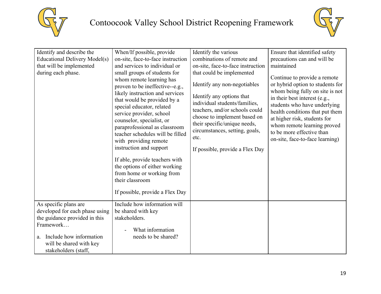



| Identify and describe the<br><b>Educational Delivery Model(s)</b><br>that will be implemented<br>during each phase.                                                                       | When/If possible, provide<br>on-site, face-to-face instruction<br>and services to individual or<br>small groups of students for<br>whom remote learning has<br>proven to be ineffective--e.g.,<br>likely instruction and services<br>that would be provided by a<br>special educator, related<br>service provider, school<br>counselor, specialist, or<br>paraprofessional as classroom<br>teacher schedules will be filled<br>with providing remote<br>instruction and support<br>If able, provide teachers with<br>the options of either working<br>from home or working from<br>their classroom<br>If possible, provide a Flex Day | Identify the various<br>combinations of remote and<br>on-site, face-to-face instruction<br>that could be implemented<br>Identify any non-negotiables<br>Identify any options that<br>individual students/families,<br>teachers, and/or schools could<br>choose to implement based on<br>their specific/unique needs,<br>circumstances, setting, goals,<br>etc.<br>If possible, provide a Flex Day | Ensure that identified safety<br>precautions can and will be<br>maintained<br>Continue to provide a remote<br>or hybrid option to students for<br>whom being fully on site is not<br>in their best interest (e.g.,<br>students who have underlying<br>health conditions that put them<br>at higher risk, students for<br>whom remote learning proved<br>to be more effective than<br>on-site, face-to-face learning) |
|-------------------------------------------------------------------------------------------------------------------------------------------------------------------------------------------|---------------------------------------------------------------------------------------------------------------------------------------------------------------------------------------------------------------------------------------------------------------------------------------------------------------------------------------------------------------------------------------------------------------------------------------------------------------------------------------------------------------------------------------------------------------------------------------------------------------------------------------|---------------------------------------------------------------------------------------------------------------------------------------------------------------------------------------------------------------------------------------------------------------------------------------------------------------------------------------------------------------------------------------------------|----------------------------------------------------------------------------------------------------------------------------------------------------------------------------------------------------------------------------------------------------------------------------------------------------------------------------------------------------------------------------------------------------------------------|
| As specific plans are<br>developed for each phase using<br>the guidance provided in this<br>Framework<br>Include how information<br>a.<br>will be shared with key<br>stakeholders (staff, | Include how information will<br>be shared with key<br>stakeholders.<br>What information<br>needs to be shared?                                                                                                                                                                                                                                                                                                                                                                                                                                                                                                                        |                                                                                                                                                                                                                                                                                                                                                                                                   |                                                                                                                                                                                                                                                                                                                                                                                                                      |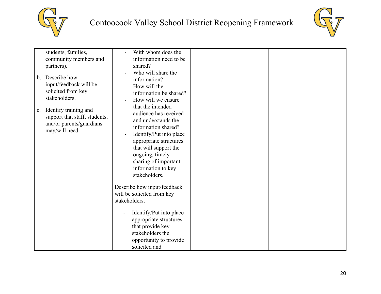



| students, families,                                                                                                    | With whom does the                                                                                                                                                                                                                                                                                                                     |  |
|------------------------------------------------------------------------------------------------------------------------|----------------------------------------------------------------------------------------------------------------------------------------------------------------------------------------------------------------------------------------------------------------------------------------------------------------------------------------|--|
| community members and                                                                                                  | information need to be                                                                                                                                                                                                                                                                                                                 |  |
| partners).                                                                                                             | shared?                                                                                                                                                                                                                                                                                                                                |  |
| Describe how<br>$\mathbf{b}$ .<br>input/feedback will be<br>solicited from key<br>stakeholders.                        | Who will share the<br>information?<br>How will the<br>information be shared?<br>How will we ensure                                                                                                                                                                                                                                     |  |
| Identify training and<br>$\mathbf{c}$ .<br>support that staff, students,<br>and/or parents/guardians<br>may/will need. | that the intended<br>audience has received<br>and understands the<br>information shared?<br>Identify/Put into place<br>appropriate structures<br>that will support the<br>ongoing, timely<br>sharing of important<br>information to key<br>stakeholders.<br>Describe how input/feedback<br>will be solicited from key<br>stakeholders. |  |
|                                                                                                                        | Identify/Put into place<br>appropriate structures<br>that provide key<br>stakeholders the                                                                                                                                                                                                                                              |  |
|                                                                                                                        | opportunity to provide<br>solicited and                                                                                                                                                                                                                                                                                                |  |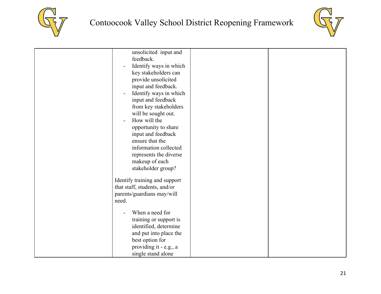



| unsolicited input and                    |  |
|------------------------------------------|--|
| feedback.                                |  |
| Identify ways in which                   |  |
| key stakeholders can                     |  |
| provide unsolicited                      |  |
| input and feedback.                      |  |
| Identify ways in which<br>$\overline{a}$ |  |
| input and feedback                       |  |
| from key stakeholders                    |  |
| will be sought out.                      |  |
| How will the                             |  |
| opportunity to share                     |  |
| input and feedback                       |  |
| ensure that the                          |  |
| information collected                    |  |
| represents the diverse                   |  |
| makeup of each                           |  |
| stakeholder group?                       |  |
|                                          |  |
| Identify training and support            |  |
| that staff, students, and/or             |  |
| parents/guardians may/will               |  |
| need.                                    |  |
|                                          |  |
| When a need for                          |  |
| training or support is                   |  |
| identified, determine                    |  |
| and put into place the                   |  |
| best option for                          |  |
| providing it - e.g., a                   |  |
| single stand alone                       |  |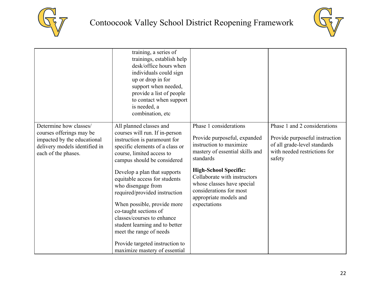



|                                                                                                                                           | training, a series of<br>trainings, establish help<br>desk/office hours when<br>individuals could sign<br>up or drop in for<br>support when needed,<br>provide a list of people<br>to contact when support<br>is needed, a<br>combination, etc.                                                                                                                                                                                                                                                                                         |                                                                                                                                                                                                                                                                                                      |                                                                                                                                          |
|-------------------------------------------------------------------------------------------------------------------------------------------|-----------------------------------------------------------------------------------------------------------------------------------------------------------------------------------------------------------------------------------------------------------------------------------------------------------------------------------------------------------------------------------------------------------------------------------------------------------------------------------------------------------------------------------------|------------------------------------------------------------------------------------------------------------------------------------------------------------------------------------------------------------------------------------------------------------------------------------------------------|------------------------------------------------------------------------------------------------------------------------------------------|
| Determine how classes/<br>courses offerings may be<br>impacted by the educational<br>delivery models identified in<br>each of the phases. | All planned classes and<br>courses will run. If in-person<br>instruction is paramount for<br>specific elements of a class or<br>course, limited access to<br>campus should be considered<br>Develop a plan that supports<br>equitable access for students<br>who disengage from<br>required/provided instruction<br>When possible, provide more<br>co-taught sections of<br>classes/courses to enhance<br>student learning and to better<br>meet the range of needs<br>Provide targeted instruction to<br>maximize mastery of essential | Phase 1 considerations<br>Provide purposeful, expanded<br>instruction to maximize<br>mastery of essential skills and<br>standards<br><b>High-School Specific:</b><br>Collaborate with instructors<br>whose classes have special<br>considerations for most<br>appropriate models and<br>expectations | Phase 1 and 2 considerations<br>Provide purposeful instruction<br>of all grade-level standards<br>with needed restrictions for<br>safety |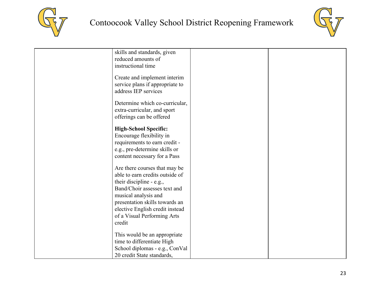



| address IEP services            |                                                                                                                                                                                                                                                                                                                                                                                                                                                                                                          |  |
|---------------------------------|----------------------------------------------------------------------------------------------------------------------------------------------------------------------------------------------------------------------------------------------------------------------------------------------------------------------------------------------------------------------------------------------------------------------------------------------------------------------------------------------------------|--|
|                                 |                                                                                                                                                                                                                                                                                                                                                                                                                                                                                                          |  |
|                                 |                                                                                                                                                                                                                                                                                                                                                                                                                                                                                                          |  |
|                                 |                                                                                                                                                                                                                                                                                                                                                                                                                                                                                                          |  |
| offerings can be offered        |                                                                                                                                                                                                                                                                                                                                                                                                                                                                                                          |  |
|                                 |                                                                                                                                                                                                                                                                                                                                                                                                                                                                                                          |  |
|                                 |                                                                                                                                                                                                                                                                                                                                                                                                                                                                                                          |  |
|                                 |                                                                                                                                                                                                                                                                                                                                                                                                                                                                                                          |  |
|                                 |                                                                                                                                                                                                                                                                                                                                                                                                                                                                                                          |  |
|                                 |                                                                                                                                                                                                                                                                                                                                                                                                                                                                                                          |  |
| content necessary for a Pass    |                                                                                                                                                                                                                                                                                                                                                                                                                                                                                                          |  |
|                                 |                                                                                                                                                                                                                                                                                                                                                                                                                                                                                                          |  |
|                                 |                                                                                                                                                                                                                                                                                                                                                                                                                                                                                                          |  |
|                                 |                                                                                                                                                                                                                                                                                                                                                                                                                                                                                                          |  |
|                                 |                                                                                                                                                                                                                                                                                                                                                                                                                                                                                                          |  |
|                                 |                                                                                                                                                                                                                                                                                                                                                                                                                                                                                                          |  |
| musical analysis and            |                                                                                                                                                                                                                                                                                                                                                                                                                                                                                                          |  |
| presentation skills towards an  |                                                                                                                                                                                                                                                                                                                                                                                                                                                                                                          |  |
| elective English credit instead |                                                                                                                                                                                                                                                                                                                                                                                                                                                                                                          |  |
|                                 |                                                                                                                                                                                                                                                                                                                                                                                                                                                                                                          |  |
| credit                          |                                                                                                                                                                                                                                                                                                                                                                                                                                                                                                          |  |
|                                 |                                                                                                                                                                                                                                                                                                                                                                                                                                                                                                          |  |
| This would be an appropriate    |                                                                                                                                                                                                                                                                                                                                                                                                                                                                                                          |  |
| time to differentiate High      |                                                                                                                                                                                                                                                                                                                                                                                                                                                                                                          |  |
| School diplomas - e.g., ConVal  |                                                                                                                                                                                                                                                                                                                                                                                                                                                                                                          |  |
| 20 credit State standards,      |                                                                                                                                                                                                                                                                                                                                                                                                                                                                                                          |  |
|                                 | skills and standards, given<br>reduced amounts of<br>instructional time<br>Create and implement interim<br>service plans if appropriate to<br>Determine which co-curricular,<br>extra-curricular, and sport<br><b>High-School Specific:</b><br>Encourage flexibility in<br>requirements to earn credit -<br>e.g., pre-determine skills or<br>Are there courses that may be<br>able to earn credits outside of<br>their discipline - e.g.,<br>Band/Choir assesses text and<br>of a Visual Performing Arts |  |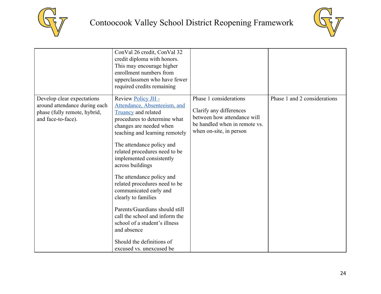



|                                                                                                                   | ConVal 26 credit, ConVal 32<br>credit diploma with honors.<br>This may encourage higher<br>enrollment numbers from<br>upperclassmen who have fewer<br>required credits remaining                                                                                                                                                                                                                                                                                                                                                                                                        |                                                                                                                                              |                              |
|-------------------------------------------------------------------------------------------------------------------|-----------------------------------------------------------------------------------------------------------------------------------------------------------------------------------------------------------------------------------------------------------------------------------------------------------------------------------------------------------------------------------------------------------------------------------------------------------------------------------------------------------------------------------------------------------------------------------------|----------------------------------------------------------------------------------------------------------------------------------------------|------------------------------|
| Develop clear expectations<br>around attendance during each<br>phase (fully remote, hybrid,<br>and face-to-face). | Review Policy JH -<br>Attendance, Absenteeism, and<br><b>Truancy</b> and related<br>procedures to determine what<br>changes are needed when<br>teaching and learning remotely<br>The attendance policy and<br>related procedures need to be<br>implemented consistently<br>across buildings<br>The attendance policy and<br>related procedures need to be<br>communicated early and<br>clearly to families<br>Parents/Guardians should still<br>call the school and inform the<br>school of a student's illness<br>and absence<br>Should the definitions of<br>excused vs. unexcused be | Phase 1 considerations<br>Clarify any differences<br>between how attendance will<br>be handled when in remote vs.<br>when on-site, in person | Phase 1 and 2 considerations |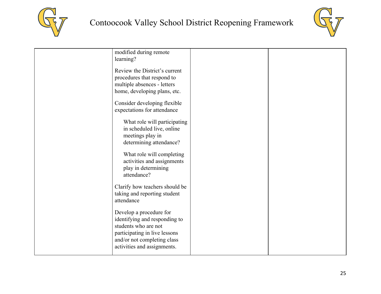



| modified during remote<br>learning?                                                                                                                                                                                                                             |  |
|-----------------------------------------------------------------------------------------------------------------------------------------------------------------------------------------------------------------------------------------------------------------|--|
| Review the District's current<br>procedures that respond to<br>multiple absences - letters<br>home, developing plans, etc.<br>Consider developing flexible<br>expectations for attendance                                                                       |  |
| What role will participating<br>in scheduled live, online<br>meetings play in<br>determining attendance?<br>What role will completing<br>activities and assignments<br>play in determining<br>attendance?                                                       |  |
| Clarify how teachers should be<br>taking and reporting student<br>attendance<br>Develop a procedure for<br>identifying and responding to<br>students who are not<br>participating in live lessons<br>and/or not completing class<br>activities and assignments. |  |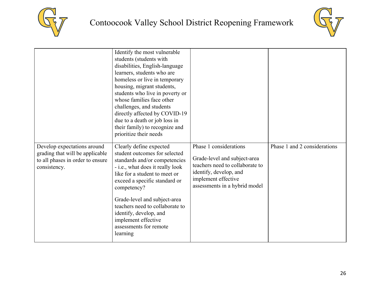



|                                                                                                                    | Identify the most vulnerable<br>students (students with<br>disabilities, English-language<br>learners, students who are<br>homeless or live in temporary<br>housing, migrant students,<br>students who live in poverty or<br>whose families face other<br>challenges, and students<br>directly affected by COVID-19<br>due to a death or job loss in<br>their family) to recognize and<br>prioritize their needs |                                                                                                                                                                             |                              |
|--------------------------------------------------------------------------------------------------------------------|------------------------------------------------------------------------------------------------------------------------------------------------------------------------------------------------------------------------------------------------------------------------------------------------------------------------------------------------------------------------------------------------------------------|-----------------------------------------------------------------------------------------------------------------------------------------------------------------------------|------------------------------|
| Develop expectations around<br>grading that will be applicable<br>to all phases in order to ensure<br>consistency. | Clearly define expected<br>student outcomes for selected<br>standards and/or competencies<br>- i.e., what does it really look<br>like for a student to meet or<br>exceed a specific standard or<br>competency?<br>Grade-level and subject-area<br>teachers need to collaborate to<br>identify, develop, and<br>implement effective<br>assessments for remote<br>learning                                         | Phase 1 considerations<br>Grade-level and subject-area<br>teachers need to collaborate to<br>identify, develop, and<br>implement effective<br>assessments in a hybrid model | Phase 1 and 2 considerations |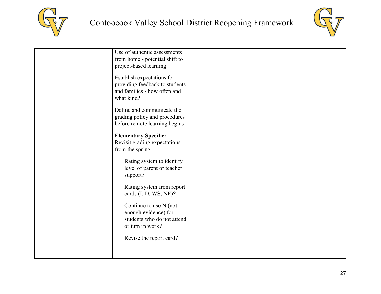



| Use of authentic assessments<br>from home - potential shift to<br>project-based learning<br>Establish expectations for<br>providing feedback to students<br>and families - how often and<br>what kind? |  |
|--------------------------------------------------------------------------------------------------------------------------------------------------------------------------------------------------------|--|
| Define and communicate the<br>grading policy and procedures<br>before remote learning begins                                                                                                           |  |
| <b>Elementary Specific:</b><br>Revisit grading expectations<br>from the spring                                                                                                                         |  |
| Rating system to identify<br>level of parent or teacher<br>support?                                                                                                                                    |  |
| Rating system from report<br>cards (I, D, WS, NE)?                                                                                                                                                     |  |
| Continue to use N (not<br>enough evidence) for<br>students who do not attend<br>or turn in work?                                                                                                       |  |
| Revise the report card?                                                                                                                                                                                |  |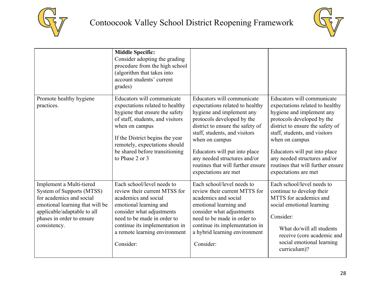



|                                                                                                                                                                                                  | <b>Middle Specific:</b><br>Consider adopting the grading<br>procedure from the high school<br>(algorithm that takes into<br>account students' current<br>grades)                                                                                                               |                                                                                                                                                                                                                                                                                                                                               |                                                                                                                                                                                                                                                                                                                                               |
|--------------------------------------------------------------------------------------------------------------------------------------------------------------------------------------------------|--------------------------------------------------------------------------------------------------------------------------------------------------------------------------------------------------------------------------------------------------------------------------------|-----------------------------------------------------------------------------------------------------------------------------------------------------------------------------------------------------------------------------------------------------------------------------------------------------------------------------------------------|-----------------------------------------------------------------------------------------------------------------------------------------------------------------------------------------------------------------------------------------------------------------------------------------------------------------------------------------------|
| Promote healthy hygiene<br>practices.                                                                                                                                                            | Educators will communicate<br>expectations related to healthy<br>hygiene that ensure the safety<br>of staff, students, and visitors<br>when on campus<br>If the District begins the year<br>remotely, expectations should<br>be shared before transitioning<br>to Phase 2 or 3 | Educators will communicate<br>expectations related to healthy<br>hygiene and implement any<br>protocols developed by the<br>district to ensure the safety of<br>staff, students, and visitors<br>when on campus<br>Educators will put into place<br>any needed structures and/or<br>routines that will further ensure<br>expectations are met | Educators will communicate<br>expectations related to healthy<br>hygiene and implement any<br>protocols developed by the<br>district to ensure the safety of<br>staff, students, and visitors<br>when on campus<br>Educators will put into place<br>any needed structures and/or<br>routines that will further ensure<br>expectations are met |
| Implement a Multi-tiered<br>System of Supports (MTSS)<br>for academics and social<br>emotional learning that will be<br>applicable/adaptable to all<br>phases in order to ensure<br>consistency. | Each school/level needs to<br>review their current MTSS for<br>academics and social<br>emotional learning and<br>consider what adjustments<br>need to be made in order to<br>continue its implementation in<br>a remote learning environment<br>Consider:                      | Each school/level needs to<br>review their current MTTS for<br>academics and social<br>emotional learning and<br>consider what adjustments<br>need to be made in order to<br>continue its implementation in<br>a hybrid learning environment<br>Consider:                                                                                     | Each school/level needs to<br>continue to develop their<br>MTTS for academics and<br>social emotional learning<br>Consider:<br>What do/will all students<br>receive (core academic and<br>social emotional learning<br>curriculum)?                                                                                                           |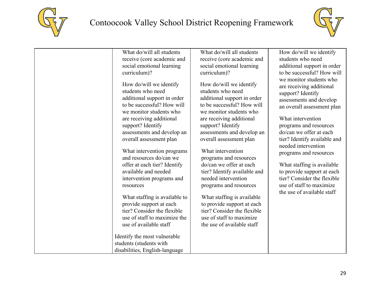



| What do/will all students                                                                                                                                                                                                                                                                                                                                                                                                                                                                                                                                      | What do/will all students                                                                                                                                                                                                                                                                                                                                                                                                                                                                                                                                      | How do/will we identify                                                                                                                                                                                                                                                                                                                                                                                                                           |
|----------------------------------------------------------------------------------------------------------------------------------------------------------------------------------------------------------------------------------------------------------------------------------------------------------------------------------------------------------------------------------------------------------------------------------------------------------------------------------------------------------------------------------------------------------------|----------------------------------------------------------------------------------------------------------------------------------------------------------------------------------------------------------------------------------------------------------------------------------------------------------------------------------------------------------------------------------------------------------------------------------------------------------------------------------------------------------------------------------------------------------------|---------------------------------------------------------------------------------------------------------------------------------------------------------------------------------------------------------------------------------------------------------------------------------------------------------------------------------------------------------------------------------------------------------------------------------------------------|
| receive (core academic and                                                                                                                                                                                                                                                                                                                                                                                                                                                                                                                                     | receive (core academic and                                                                                                                                                                                                                                                                                                                                                                                                                                                                                                                                     | students who need                                                                                                                                                                                                                                                                                                                                                                                                                                 |
| social emotional learning                                                                                                                                                                                                                                                                                                                                                                                                                                                                                                                                      | social emotional learning                                                                                                                                                                                                                                                                                                                                                                                                                                                                                                                                      | additional support in order                                                                                                                                                                                                                                                                                                                                                                                                                       |
| curriculum)?                                                                                                                                                                                                                                                                                                                                                                                                                                                                                                                                                   | curriculum)?                                                                                                                                                                                                                                                                                                                                                                                                                                                                                                                                                   | to be successful? How will                                                                                                                                                                                                                                                                                                                                                                                                                        |
| How do/will we identify<br>students who need<br>additional support in order<br>to be successful? How will<br>we monitor students who<br>are receiving additional<br>support? Identify<br>assessments and develop an<br>overall assessment plan<br>What intervention programs<br>and resources do/can we<br>offer at each tier? Identify<br>available and needed<br>intervention programs and<br>resources<br>What staffing is available to<br>provide support at each<br>tier? Consider the flexible<br>use of staff to maximize the<br>use of available staff | How do/will we identify<br>students who need<br>additional support in order<br>to be successful? How will<br>we monitor students who<br>are receiving additional<br>support? Identify<br>assessments and develop an<br>overall assessment plan<br>What intervention<br>programs and resources<br>do/can we offer at each<br>tier? Identify available and<br>needed intervention<br>programs and resources<br>What staffing is available<br>to provide support at each<br>tier? Consider the flexible<br>use of staff to maximize<br>the use of available staff | we monitor students who<br>are receiving additional<br>support? Identify<br>assessments and develop<br>an overall assessment plan<br>What intervention<br>programs and resources<br>do/can we offer at each<br>tier? Identify available and<br>needed intervention<br>programs and resources<br>What staffing is available<br>to provide support at each<br>tier? Consider the flexible<br>use of staff to maximize<br>the use of available staff |
| Identify the most vulnerable                                                                                                                                                                                                                                                                                                                                                                                                                                                                                                                                   |                                                                                                                                                                                                                                                                                                                                                                                                                                                                                                                                                                |                                                                                                                                                                                                                                                                                                                                                                                                                                                   |
| students (students with                                                                                                                                                                                                                                                                                                                                                                                                                                                                                                                                        |                                                                                                                                                                                                                                                                                                                                                                                                                                                                                                                                                                |                                                                                                                                                                                                                                                                                                                                                                                                                                                   |
| disabilities, English-language                                                                                                                                                                                                                                                                                                                                                                                                                                                                                                                                 |                                                                                                                                                                                                                                                                                                                                                                                                                                                                                                                                                                |                                                                                                                                                                                                                                                                                                                                                                                                                                                   |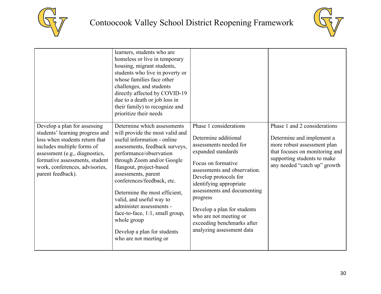



|                                                                                                                                                                                                                                                            | learners, students who are<br>homeless or live in temporary<br>housing, migrant students,<br>students who live in poverty or<br>whose families face other<br>challenges, and students<br>directly affected by COVID-19<br>due to a death or job loss in<br>their family) to recognize and<br>prioritize their needs                                                                                                                                                         |                                                                                                                                                                                                                                                                                                                                                                         |                                                                                                                                                                                           |
|------------------------------------------------------------------------------------------------------------------------------------------------------------------------------------------------------------------------------------------------------------|-----------------------------------------------------------------------------------------------------------------------------------------------------------------------------------------------------------------------------------------------------------------------------------------------------------------------------------------------------------------------------------------------------------------------------------------------------------------------------|-------------------------------------------------------------------------------------------------------------------------------------------------------------------------------------------------------------------------------------------------------------------------------------------------------------------------------------------------------------------------|-------------------------------------------------------------------------------------------------------------------------------------------------------------------------------------------|
| Develop a plan for assessing<br>students' learning progress and<br>loss when students return that<br>includes multiple forms of<br>assessment (e.g., diagnostics,<br>formative assessments, student<br>work, conferences, advisories,<br>parent feedback). | Determine which assessments<br>will provide the most valid and<br>useful information - online<br>assessments, feedback surveys,<br>performance/observation<br>through Zoom and/or Google<br>Hangout, project-based<br>assessments, parent<br>conferences/feedback, etc.<br>Determine the most efficient,<br>valid, and useful way to<br>administer assessments -<br>face-to-face, 1:1, small group,<br>whole group<br>Develop a plan for students<br>who are not meeting or | Phase 1 considerations<br>Determine additional<br>assessments needed for<br>expanded standards<br>Focus on formative<br>assessments and observation.<br>Develop protocols for<br>identifying appropriate<br>assessments and documenting<br>progress<br>Develop a plan for students<br>who are not meeting or<br>exceeding benchmarks after<br>analyzing assessment data | Phase 1 and 2 considerations<br>Determine and implement a<br>more robust assessment plan<br>that focuses on monitoring and<br>supporting students to make<br>any needed "catch up" growth |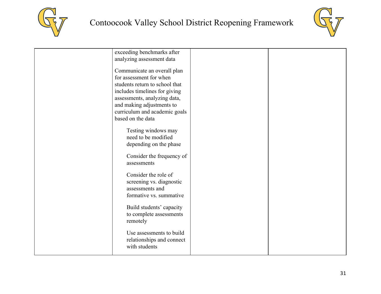



| exceeding benchmarks after<br>analyzing assessment data                                                                                                                                                                                      |  |
|----------------------------------------------------------------------------------------------------------------------------------------------------------------------------------------------------------------------------------------------|--|
| Communicate an overall plan<br>for assessment for when<br>students return to school that<br>includes timelines for giving<br>assessments, analyzing data,<br>and making adjustments to<br>curriculum and academic goals<br>based on the data |  |
| Testing windows may<br>need to be modified<br>depending on the phase                                                                                                                                                                         |  |
| Consider the frequency of<br>assessments                                                                                                                                                                                                     |  |
| Consider the role of<br>screening vs. diagnostic<br>assessments and<br>formative vs. summative                                                                                                                                               |  |
| Build students' capacity<br>to complete assessments<br>remotely                                                                                                                                                                              |  |
| Use assessments to build<br>relationships and connect<br>with students                                                                                                                                                                       |  |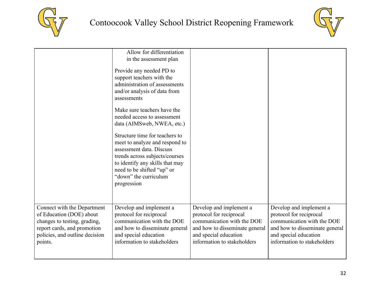



|                                | Allow for differentiation<br>in the assessment plan<br>Provide any needed PD to<br>support teachers with the<br>administration of assessments<br>and/or analysis of data from<br>assessments<br>Make sure teachers have the<br>needed access to assessment<br>data (AIMSweb, NWEA, etc.)<br>Structure time for teachers to<br>meet to analyze and respond to<br>assessment data. Discuss<br>trends across subjects/courses<br>to identify any skills that may<br>need to be shifted "up" or<br>"down" the curriculum<br>progression |                                |                                |
|--------------------------------|-------------------------------------------------------------------------------------------------------------------------------------------------------------------------------------------------------------------------------------------------------------------------------------------------------------------------------------------------------------------------------------------------------------------------------------------------------------------------------------------------------------------------------------|--------------------------------|--------------------------------|
| Connect with the Department    | Develop and implement a                                                                                                                                                                                                                                                                                                                                                                                                                                                                                                             | Develop and implement a        | Develop and implement a        |
| of Education (DOE) about       | protocol for reciprocal                                                                                                                                                                                                                                                                                                                                                                                                                                                                                                             | protocol for reciprocal        | protocol for reciprocal        |
| changes to testing, grading,   | communication with the DOE                                                                                                                                                                                                                                                                                                                                                                                                                                                                                                          | communication with the DOE     | communication with the DOE     |
| report cards, and promotion    | and how to disseminate general                                                                                                                                                                                                                                                                                                                                                                                                                                                                                                      | and how to disseminate general | and how to disseminate general |
| policies, and outline decision | and special education                                                                                                                                                                                                                                                                                                                                                                                                                                                                                                               | and special education          | and special education          |
| points.                        | information to stakeholders                                                                                                                                                                                                                                                                                                                                                                                                                                                                                                         | information to stakeholders    | information to stakeholders    |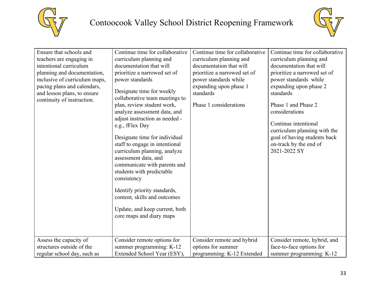



| Ensure that schools and<br>teachers are engaging in<br>intentional curriculum<br>planning and documentation,<br>inclusive of curriculum maps,<br>pacing plans and calendars,<br>and lesson plans, to ensure<br>continuity of instruction. | Continue time for collaborative<br>curriculum planning and<br>documentation that will<br>prioritize a narrowed set of<br>power standards<br>Designate time for weekly<br>collaborative team meetings to<br>plan, review student work,<br>analyze assessment data, and<br>adjust instruction as needed -<br>e.g., fFlex Day<br>Designate time for individual<br>staff to engage in intentional<br>curriculum planning, analyze<br>assessment data, and<br>communicate with parents and<br>students with predictable<br>consistency<br>Identify priority standards,<br>content, skills and outcomes<br>Update, and keep current, both<br>core maps and diary maps | Continue time for collaborative<br>curriculum planning and<br>documentation that will<br>prioritize a narrowed set of<br>power standards while<br>expanding upon phase 1<br>standards<br>Phase 1 considerations | Continue time for collaborative<br>curriculum planning and<br>documentation that will<br>prioritize a narrowed set of<br>power standards while<br>expanding upon phase 2<br>standards<br>Phase 1 and Phase 2<br>considerations<br>Continue intentional<br>curriculum planning with the<br>goal of having students back<br>on-track by the end of<br>2021-2022 SY |
|-------------------------------------------------------------------------------------------------------------------------------------------------------------------------------------------------------------------------------------------|-----------------------------------------------------------------------------------------------------------------------------------------------------------------------------------------------------------------------------------------------------------------------------------------------------------------------------------------------------------------------------------------------------------------------------------------------------------------------------------------------------------------------------------------------------------------------------------------------------------------------------------------------------------------|-----------------------------------------------------------------------------------------------------------------------------------------------------------------------------------------------------------------|------------------------------------------------------------------------------------------------------------------------------------------------------------------------------------------------------------------------------------------------------------------------------------------------------------------------------------------------------------------|
| Assess the capacity of<br>structures outside of the                                                                                                                                                                                       | Consider remote options for<br>summer programming: K-12                                                                                                                                                                                                                                                                                                                                                                                                                                                                                                                                                                                                         | Consider remote and hybrid<br>options for summer                                                                                                                                                                | Consider remote, hybrid, and<br>face-to-face options for                                                                                                                                                                                                                                                                                                         |
| regular school day, such as                                                                                                                                                                                                               | Extended School Year (ESY),                                                                                                                                                                                                                                                                                                                                                                                                                                                                                                                                                                                                                                     | programming: K-12 Extended                                                                                                                                                                                      | summer programming: K-12                                                                                                                                                                                                                                                                                                                                         |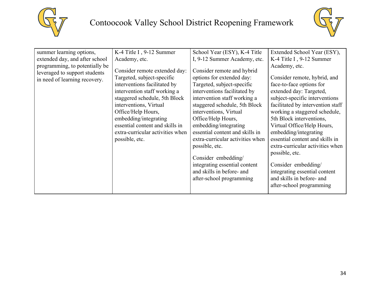



| summer learning options,<br>extended day, and after school<br>programming, to potentially be<br>leveraged to support students<br>in need of learning recovery. | K-4 Title I, 9-12 Summer<br>Academy, etc.<br>Consider remote extended day:<br>Targeted, subject-specific<br>interventions facilitated by<br>intervention staff working a<br>staggered schedule, 5th Block<br>interventions, Virtual<br>Office/Help Hours,<br>embedding/integrating<br>essential content and skills in<br>extra-curricular activities when | School Year (ESY), K-4 Title<br>I, 9-12 Summer Academy, etc.<br>Consider remote and hybrid<br>options for extended day:<br>Targeted, subject-specific<br>interventions facilitated by<br>intervention staff working a<br>staggered schedule, 5th Block<br>interventions, Virtual<br>Office/Help Hours,<br>embedding/integrating<br>essential content and skills in | Extended School Year (ESY),<br>K-4 Title I, $9-12$ Summer<br>Academy, etc.<br>Consider remote, hybrid, and<br>face-to-face options for<br>extended day: Targeted,<br>subject-specific interventions<br>facilitated by intervention staff<br>working a staggered schedule,<br>5th Block interventions,<br>Virtual Office/Help Hours,<br>embedding/integrating |
|----------------------------------------------------------------------------------------------------------------------------------------------------------------|-----------------------------------------------------------------------------------------------------------------------------------------------------------------------------------------------------------------------------------------------------------------------------------------------------------------------------------------------------------|--------------------------------------------------------------------------------------------------------------------------------------------------------------------------------------------------------------------------------------------------------------------------------------------------------------------------------------------------------------------|--------------------------------------------------------------------------------------------------------------------------------------------------------------------------------------------------------------------------------------------------------------------------------------------------------------------------------------------------------------|
|                                                                                                                                                                |                                                                                                                                                                                                                                                                                                                                                           |                                                                                                                                                                                                                                                                                                                                                                    |                                                                                                                                                                                                                                                                                                                                                              |
|                                                                                                                                                                |                                                                                                                                                                                                                                                                                                                                                           |                                                                                                                                                                                                                                                                                                                                                                    |                                                                                                                                                                                                                                                                                                                                                              |
|                                                                                                                                                                |                                                                                                                                                                                                                                                                                                                                                           |                                                                                                                                                                                                                                                                                                                                                                    |                                                                                                                                                                                                                                                                                                                                                              |
|                                                                                                                                                                |                                                                                                                                                                                                                                                                                                                                                           |                                                                                                                                                                                                                                                                                                                                                                    |                                                                                                                                                                                                                                                                                                                                                              |
|                                                                                                                                                                |                                                                                                                                                                                                                                                                                                                                                           |                                                                                                                                                                                                                                                                                                                                                                    |                                                                                                                                                                                                                                                                                                                                                              |
|                                                                                                                                                                |                                                                                                                                                                                                                                                                                                                                                           |                                                                                                                                                                                                                                                                                                                                                                    |                                                                                                                                                                                                                                                                                                                                                              |
|                                                                                                                                                                | possible, etc.                                                                                                                                                                                                                                                                                                                                            | extra-curricular activities when                                                                                                                                                                                                                                                                                                                                   | essential content and skills in                                                                                                                                                                                                                                                                                                                              |
|                                                                                                                                                                |                                                                                                                                                                                                                                                                                                                                                           | possible, etc.                                                                                                                                                                                                                                                                                                                                                     | extra-curricular activities when                                                                                                                                                                                                                                                                                                                             |
|                                                                                                                                                                |                                                                                                                                                                                                                                                                                                                                                           | Consider embedding/                                                                                                                                                                                                                                                                                                                                                | possible, etc.                                                                                                                                                                                                                                                                                                                                               |
|                                                                                                                                                                |                                                                                                                                                                                                                                                                                                                                                           | integrating essential content                                                                                                                                                                                                                                                                                                                                      | Consider embedding/                                                                                                                                                                                                                                                                                                                                          |
|                                                                                                                                                                |                                                                                                                                                                                                                                                                                                                                                           | and skills in before- and                                                                                                                                                                                                                                                                                                                                          | integrating essential content                                                                                                                                                                                                                                                                                                                                |
|                                                                                                                                                                |                                                                                                                                                                                                                                                                                                                                                           | after-school programming                                                                                                                                                                                                                                                                                                                                           | and skills in before- and                                                                                                                                                                                                                                                                                                                                    |
|                                                                                                                                                                |                                                                                                                                                                                                                                                                                                                                                           |                                                                                                                                                                                                                                                                                                                                                                    | after-school programming                                                                                                                                                                                                                                                                                                                                     |
|                                                                                                                                                                |                                                                                                                                                                                                                                                                                                                                                           |                                                                                                                                                                                                                                                                                                                                                                    |                                                                                                                                                                                                                                                                                                                                                              |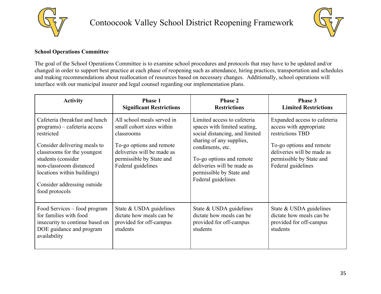



#### <span id="page-34-0"></span>**School Operations Committee**

The goal of the School Operations Committee is to examine school procedures and protocols that may have to be updated and/or changed in order to support best practice at each phase of reopening such as attendance, hiring practices, transportation and schedules and making recommendations about reallocation of resources based on necessary changes. Additionally, school operations will interface with our municipal insurer and legal counsel regarding our implementation plans.

| <b>Activity</b>                                                                                                                                                                                                                                                              | <b>Phase 1</b><br><b>Significant Restrictions</b>                                                                                                                                 | <b>Phase 2</b><br><b>Restrictions</b>                                                                                                                                                                                                                     | Phase 3<br><b>Limited Restrictions</b>                                                                                                                                                  |
|------------------------------------------------------------------------------------------------------------------------------------------------------------------------------------------------------------------------------------------------------------------------------|-----------------------------------------------------------------------------------------------------------------------------------------------------------------------------------|-----------------------------------------------------------------------------------------------------------------------------------------------------------------------------------------------------------------------------------------------------------|-----------------------------------------------------------------------------------------------------------------------------------------------------------------------------------------|
| Cafeteria (breakfast and lunch<br>programs) – cafeteria access<br>restricted<br>Consider delivering meals to<br>classrooms for the youngest<br>students (consider<br>non-classroom distanced<br>locations within buildings)<br>Consider addressing outside<br>food protocols | All school meals served in<br>small cohort sizes within<br>classrooms<br>To-go options and remote<br>deliveries will be made as<br>permissible by State and<br>Federal guidelines | Limited access to cafeteria<br>spaces with limited seating,<br>social distancing, and limited<br>sharing of any supplies,<br>condiments, etc.<br>To-go options and remote<br>deliveries will be made as<br>permissible by State and<br>Federal guidelines | Expanded access to cafeteria<br>access with appropriate<br>restrictions TBD<br>To-go options and remote<br>deliveries will be made as<br>permissible by State and<br>Federal guidelines |
| Food Services – food program<br>for families with food<br>insecurity to continue based on<br>DOE guidance and program<br>availability                                                                                                                                        | State & USDA guidelines<br>dictate how meals can be<br>provided for off-campus<br>students                                                                                        | State & USDA guidelines<br>dictate how meals can be<br>provided for off-campus<br>students                                                                                                                                                                | State $&$ USDA guidelines<br>dictate how meals can be<br>provided for off-campus<br>students                                                                                            |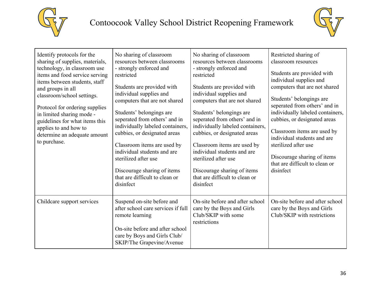



| Identify protocols for the<br>sharing of supplies, materials,<br>technology, in classroom use<br>items and food service serving<br>items between students, staff<br>and groups in all<br>classroom/school settings.<br>Protocol for ordering supplies<br>in limited sharing mode -<br>guidelines for what items this<br>applies to and how to<br>determine an adequate amount<br>to purchase. | No sharing of classroom<br>resources between classrooms<br>- strongly enforced and<br>restricted<br>Students are provided with<br>individual supplies and<br>computers that are not shared<br>Students' belongings are<br>seperated from others' and in<br>individually labeled containers,<br>cubbies, or designated areas<br>Classroom items are used by<br>individual students and are<br>sterilized after use<br>Discourage sharing of items<br>that are difficult to clean or<br>disinfect | No sharing of classroom<br>resources between classrooms<br>- strongly enforced and<br>restricted<br>Students are provided with<br>individual supplies and<br>computers that are not shared<br>Students' belongings are<br>seperated from others' and in<br>individually labeled containers,<br>cubbies, or designated areas<br>Classroom items are used by<br>individual students and are<br>sterilized after use<br>Discourage sharing of items<br>that are difficult to clean or<br>disinfect | Restricted sharing of<br>classroom resources<br>Students are provided with<br>individual supplies and<br>computers that are not shared<br>Students' belongings are<br>seperated from others' and in<br>individually labeled containers,<br>cubbies, or designated areas<br>Classroom items are used by<br>individual students and are<br>sterilized after use<br>Discourage sharing of items<br>that are difficult to clean or<br>disinfect |
|-----------------------------------------------------------------------------------------------------------------------------------------------------------------------------------------------------------------------------------------------------------------------------------------------------------------------------------------------------------------------------------------------|-------------------------------------------------------------------------------------------------------------------------------------------------------------------------------------------------------------------------------------------------------------------------------------------------------------------------------------------------------------------------------------------------------------------------------------------------------------------------------------------------|-------------------------------------------------------------------------------------------------------------------------------------------------------------------------------------------------------------------------------------------------------------------------------------------------------------------------------------------------------------------------------------------------------------------------------------------------------------------------------------------------|---------------------------------------------------------------------------------------------------------------------------------------------------------------------------------------------------------------------------------------------------------------------------------------------------------------------------------------------------------------------------------------------------------------------------------------------|
| Childcare support services                                                                                                                                                                                                                                                                                                                                                                    | Suspend on-site before and<br>after school care services if full<br>remote learning<br>On-site before and after school<br>care by Boys and Girls Club/<br>SKIP/The Grapevine/Avenue                                                                                                                                                                                                                                                                                                             | On-site before and after school<br>care by the Boys and Girls<br>Club/SKIP with some<br>restrictions                                                                                                                                                                                                                                                                                                                                                                                            | On-site before and after school<br>care by the Boys and Girls<br>Club/SKIP with restrictions                                                                                                                                                                                                                                                                                                                                                |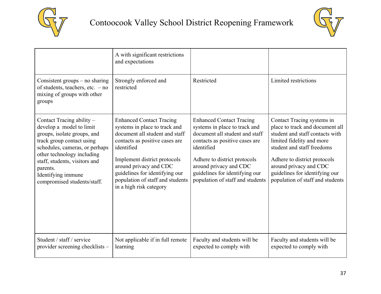



|                                                                                                                                                                                                                                                                                     | A with significant restrictions<br>and expectations                                                                                                                                                                                                                                                           |                                                                                                                                                                                                                                                                                    |                                                                                                                                                                                                                                                                                             |
|-------------------------------------------------------------------------------------------------------------------------------------------------------------------------------------------------------------------------------------------------------------------------------------|---------------------------------------------------------------------------------------------------------------------------------------------------------------------------------------------------------------------------------------------------------------------------------------------------------------|------------------------------------------------------------------------------------------------------------------------------------------------------------------------------------------------------------------------------------------------------------------------------------|---------------------------------------------------------------------------------------------------------------------------------------------------------------------------------------------------------------------------------------------------------------------------------------------|
| Consistent groups $-$ no sharing<br>of students, teachers, etc. $-$ no<br>mixing of groups with other<br>groups                                                                                                                                                                     | Strongly enforced and<br>restricted                                                                                                                                                                                                                                                                           | Restricted                                                                                                                                                                                                                                                                         | Limited restrictions                                                                                                                                                                                                                                                                        |
| Contact Tracing ability -<br>develop a model to limit<br>groups, isolate groups, and<br>track group contact using<br>schedules, cameras, or perhaps<br>other technology including<br>staff, students, visitors and<br>parents.<br>Identifying immune<br>compromised students/staff. | <b>Enhanced Contact Tracing</b><br>systems in place to track and<br>document all student and staff<br>contacts as positive cases are<br>identified<br>Implement district protocols<br>around privacy and CDC<br>guidelines for identifying our<br>population of staff and students<br>in a high risk category | <b>Enhanced Contact Tracing</b><br>systems in place to track and<br>document all student and staff<br>contacts as positive cases are<br>identified<br>Adhere to district protocols<br>around privacy and CDC<br>guidelines for identifying our<br>population of staff and students | Contact Tracing systems in<br>place to track and document all<br>student and staff contacts with<br>limited fidelity and more<br>student and staff freedoms<br>Adhere to district protocols<br>around privacy and CDC<br>guidelines for identifying our<br>population of staff and students |
| Student / staff / service<br>provider screening checklists –                                                                                                                                                                                                                        | Not applicable if in full remote<br>learning                                                                                                                                                                                                                                                                  | Faculty and students will be<br>expected to comply with                                                                                                                                                                                                                            | Faculty and students will be<br>expected to comply with                                                                                                                                                                                                                                     |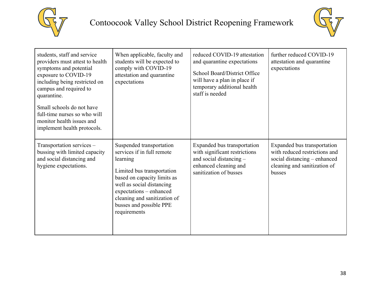



| students, staff and service<br>providers must attest to health<br>symptoms and potential<br>exposure to COVID-19<br>including being restricted on<br>campus and required to<br>quarantine.<br>Small schools do not have<br>full-time nurses so who will<br>monitor health issues and<br>implement health protocols. | When applicable, faculty and<br>students will be expected to<br>comply with COVID-19<br>attestation and quarantine<br>expectations                                                                                                                                 | reduced COVID-19 attestation<br>and quarantine expectations<br>School Board/District Office<br>will have a plan in place if<br>temporary additional health<br>staff is needed | further reduced COVID-19<br>attestation and quarantine<br>expectations                                                                 |
|---------------------------------------------------------------------------------------------------------------------------------------------------------------------------------------------------------------------------------------------------------------------------------------------------------------------|--------------------------------------------------------------------------------------------------------------------------------------------------------------------------------------------------------------------------------------------------------------------|-------------------------------------------------------------------------------------------------------------------------------------------------------------------------------|----------------------------------------------------------------------------------------------------------------------------------------|
| Transportation services –<br>bussing with limited capacity<br>and social distancing and<br>hygiene expectations.                                                                                                                                                                                                    | Suspended transportation<br>services if in full remote<br>learning<br>Limited bus transportation<br>based on capacity limits as<br>well as social distancing<br>expectations – enhanced<br>cleaning and sanitization of<br>busses and possible PPE<br>requirements | Expanded bus transportation<br>with significant restrictions<br>and social distancing -<br>enhanced cleaning and<br>sanitization of busses                                    | Expanded bus transportation<br>with reduced restrictions and<br>social distancing – enhanced<br>cleaning and sanitization of<br>busses |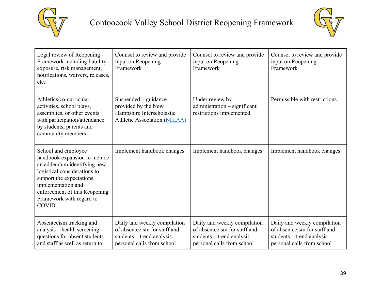



| Legal review of Reopening<br>Framework including liability<br>exposure, risk management,<br>notifications, waivers, releases,<br>etc.                                                                                                         | Counsel to review and provide<br>input on Reopening<br>Framework                                                          | Counsel to review and provide<br>input on Reopening<br>Framework                                                          | Counsel to review and provide<br>input on Reopening<br>Framework                                                          |
|-----------------------------------------------------------------------------------------------------------------------------------------------------------------------------------------------------------------------------------------------|---------------------------------------------------------------------------------------------------------------------------|---------------------------------------------------------------------------------------------------------------------------|---------------------------------------------------------------------------------------------------------------------------|
| Athletics/co-curricular<br>activities, school plays,<br>assemblies, or other events<br>with participation/attendance<br>by students, parents and<br>community members                                                                         | Suspended – guidance<br>provided by the New<br>Hampshire Interscholastic<br><b>Athletic Association (NHIAA)</b>           | Under review by<br>administration - significant<br>restrictions implemented                                               | Permissible with restrictions                                                                                             |
| School and employee<br>handbook expansion to include<br>an addendum identifying new<br>logistical considerations to<br>support the expectations,<br>implementation and<br>enforcement of this Reopening<br>Framework with regard to<br>COVID. | Implement handbook changes                                                                                                | Implement handbook changes                                                                                                | Implement handbook changes                                                                                                |
| Absenteeism tracking and<br>analysis – health screening<br>questions for absent students<br>and staff as well as return to                                                                                                                    | Daily and weekly compilation<br>of absenteeism for staff and<br>students – trend analysis –<br>personal calls from school | Daily and weekly compilation<br>of absenteeism for staff and<br>students – trend analysis –<br>personal calls from school | Daily and weekly compilation<br>of absenteeism for staff and<br>students – trend analysis –<br>personal calls from school |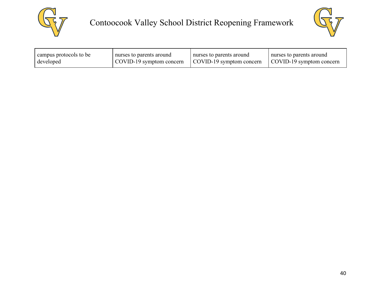



| campus protocols to be | nurses to parents around | nurses to parents around | nurses to parents around |
|------------------------|--------------------------|--------------------------|--------------------------|
| developed              | COVID-19 symptom concern | COVID-19 symptom concern | COVID-19 symptom concern |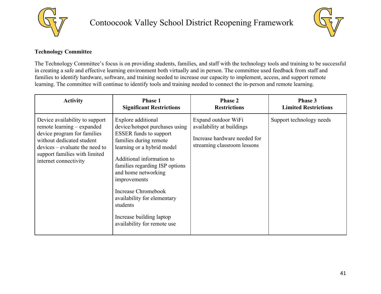



### <span id="page-40-0"></span>**Technology Committee**

The Technology Committee's focus is on providing students, families, and staff with the technology tools and training to be successful in creating a safe and effective learning environment both virtually and in person. The committee used feedback from staff and families to identify hardware, software, and training needed to increase our capacity to implement, access, and support remote learning. The committee will continue to identify tools and training needed to connect the in-person and remote learning.

| <b>Activity</b>                                                                                                                                                                                                        | <b>Phase 1</b>                                                                                                                                                                                                                                                                                                                                                                   | <b>Phase 2</b>                                                                                                  | <b>Phase 3</b>              |
|------------------------------------------------------------------------------------------------------------------------------------------------------------------------------------------------------------------------|----------------------------------------------------------------------------------------------------------------------------------------------------------------------------------------------------------------------------------------------------------------------------------------------------------------------------------------------------------------------------------|-----------------------------------------------------------------------------------------------------------------|-----------------------------|
|                                                                                                                                                                                                                        | <b>Significant Restrictions</b>                                                                                                                                                                                                                                                                                                                                                  | <b>Restrictions</b>                                                                                             | <b>Limited Restrictions</b> |
| Device availability to support<br>remote learning – expanded<br>device program for families<br>without dedicated student<br>$devices - evaluate the need to$<br>support families with limited<br>internet connectivity | Explore additional<br>device/hotspot purchases using<br><b>ESSER</b> funds to support<br>families during remote<br>learning or a hybrid model<br>Additional information to<br>families regarding ISP options<br>and home networking<br>improvements<br>Increase Chromebook<br>availability for elementary<br>students<br>Increase building laptop<br>availability for remote use | Expand outdoor WiFi<br>availability at buildings<br>Increase hardware needed for<br>streaming classroom lessons | Support technology needs    |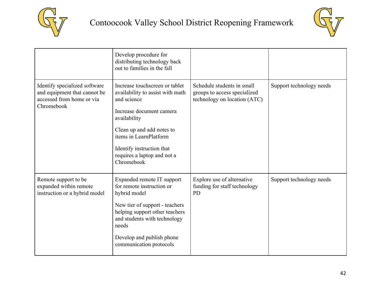



|                                                                                                          | Develop procedure for<br>distributing technology back<br>out to families in the fall                                                                                                                                                                           |                                                                                            |                          |
|----------------------------------------------------------------------------------------------------------|----------------------------------------------------------------------------------------------------------------------------------------------------------------------------------------------------------------------------------------------------------------|--------------------------------------------------------------------------------------------|--------------------------|
| Identify specialized software<br>and equipment that cannot be<br>accessed from home or via<br>Chromebook | Increase touchscreen or tablet<br>availability to assist with math<br>and science<br>Increase document camera<br>availability<br>Clean up and add notes to<br>items in LearnPlatform<br>Identify instruction that<br>requires a laptop and not a<br>Chromebook | Schedule students in small<br>groups to access specialized<br>technology on location (ATC) | Support technology needs |
| Remote support to be<br>expanded within remote<br>instruction or a hybrid model                          | Expanded remote IT support<br>for remote instruction or<br>hybrid model<br>New tier of support - teachers<br>helping support other teachers<br>and students with technology<br>needs<br>Develop and publish phone<br>communication protocols                   | Explore use of alternative<br>funding for staff technology<br><b>PD</b>                    | Support technology needs |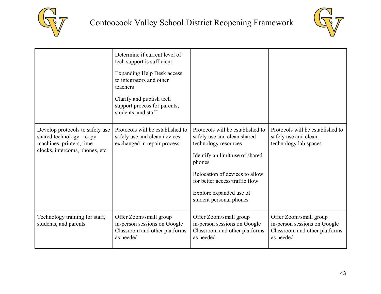



|                                                                                                                              | Determine if current level of<br>tech support is sufficient<br><b>Expanding Help Desk access</b><br>to integrators and other<br>teachers<br>Clarify and publish tech<br>support process for parents,<br>students, and staff |                                                                                                                                                                                                                                                                |                                                                                                      |
|------------------------------------------------------------------------------------------------------------------------------|-----------------------------------------------------------------------------------------------------------------------------------------------------------------------------------------------------------------------------|----------------------------------------------------------------------------------------------------------------------------------------------------------------------------------------------------------------------------------------------------------------|------------------------------------------------------------------------------------------------------|
| Develop protocols to safely use<br>shared technology $-$ copy<br>machines, printers, time<br>clocks, intercoms, phones, etc. | Protocols will be established to<br>safely use and clean devices<br>exchanged in repair process                                                                                                                             | Protocols will be established to<br>safely use and clean shared<br>technology resources<br>Identify an limit use of shared<br>phones<br>Relocation of devices to allow<br>for better access/traffic flow<br>Explore expanded use of<br>student personal phones | Protocols will be established to<br>safely use and clean<br>technology lab spaces                    |
| Technology training for staff,<br>students, and parents                                                                      | Offer Zoom/small group<br>in-person sessions on Google<br>Classroom and other platforms<br>as needed                                                                                                                        | Offer Zoom/small group<br>in-person sessions on Google<br>Classroom and other platforms<br>as needed                                                                                                                                                           | Offer Zoom/small group<br>in-person sessions on Google<br>Classroom and other platforms<br>as needed |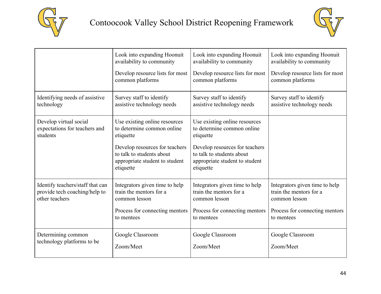



|                                  | Look into expanding Hoonuit                                                                                | Look into expanding Hoonuit                                                                                | Look into expanding Hoonuit     |
|----------------------------------|------------------------------------------------------------------------------------------------------------|------------------------------------------------------------------------------------------------------------|---------------------------------|
|                                  | availability to community                                                                                  | availability to community                                                                                  | availability to community       |
|                                  | Develop resource lists for most                                                                            | Develop resource lists for most                                                                            | Develop resource lists for most |
|                                  | common platforms                                                                                           | common platforms                                                                                           | common platforms                |
| Identifying needs of assistive   | Survey staff to identify                                                                                   | Survey staff to identify                                                                                   | Survey staff to identify        |
| technology                       | assistive technology needs                                                                                 | assistive technology needs                                                                                 | assistive technology needs      |
| Develop virtual social           | Use existing online resources                                                                              | Use existing online resources                                                                              |                                 |
| expectations for teachers and    | to determine common online                                                                                 | to determine common online                                                                                 |                                 |
| students                         | etiquette                                                                                                  | etiquette                                                                                                  |                                 |
|                                  | Develop resources for teachers<br>to talk to students about<br>appropriate student to student<br>etiquette | Develop resources for teachers<br>to talk to students about<br>appropriate student to student<br>etiquette |                                 |
| Identify teachers/staff that can | Integrators given time to help                                                                             | Integrators given time to help                                                                             | Integrators given time to help  |
| provide tech coaching/help to    | train the mentors for a                                                                                    | train the mentors for a                                                                                    | train the mentors for a         |
| other teachers                   | common lesson                                                                                              | common lesson                                                                                              | common lesson                   |
|                                  | Process for connecting mentors                                                                             | Process for connecting mentors                                                                             | Process for connecting mentors  |
|                                  | to mentees                                                                                                 | to mentees                                                                                                 | to mentees                      |
| Determining common               | Google Classroom                                                                                           | Google Classroom                                                                                           | Google Classroom                |
| technology platforms to be       | Zoom/Meet                                                                                                  | Zoom/Meet                                                                                                  | Zoom/Meet                       |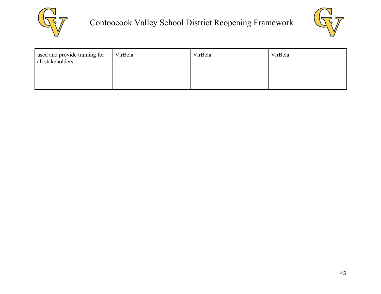



| used and provide training for<br>all stakeholders | VirBela | VirBela | VirBela |
|---------------------------------------------------|---------|---------|---------|
|                                                   |         |         |         |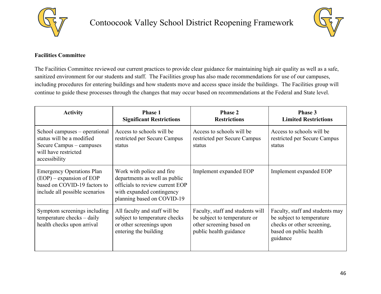



### <span id="page-45-0"></span>**Facilities Committee**

The Facilities Committee reviewed our current practices to provide clear guidance for maintaining high air quality as well as a safe, sanitized environment for our students and staff. The Facilities group has also made recommendations for use of our campuses, including procedures for entering buildings and how students move and access space inside the buildings. The Facilities group will continue to guide these processes through the changes that may occur based on recommendations at the Federal and State level.

| <b>Activity</b>                                                                                                                  | <b>Phase 1</b><br><b>Significant Restrictions</b>                                                                                                         | <b>Phase 2</b><br><b>Restrictions</b>                                                                                  | Phase 3<br><b>Limited Restrictions</b>                                                                                           |
|----------------------------------------------------------------------------------------------------------------------------------|-----------------------------------------------------------------------------------------------------------------------------------------------------------|------------------------------------------------------------------------------------------------------------------------|----------------------------------------------------------------------------------------------------------------------------------|
| School campuses – operational<br>status will be a modified<br>Secure Campus - campuses<br>will have restricted<br>accessibility  | Access to schools will be<br>restricted per Secure Campus<br>status                                                                                       | Access to schools will be<br>restricted per Secure Campus<br>status                                                    | Access to schools will be<br>restricted per Secure Campus<br>status                                                              |
| <b>Emergency Operations Plan</b><br>$(EOP)$ – expansion of EOP<br>based on COVID-19 factors to<br>include all possible scenarios | Work with police and fire.<br>departments as well as public<br>officials to review current EOP<br>with expanded contingency<br>planning based on COVID-19 | Implement expanded EOP                                                                                                 | Implement expanded EOP                                                                                                           |
| Symptom screenings including<br>temperature checks – daily<br>health checks upon arrival                                         | All faculty and staff will be<br>subject to temperature checks<br>or other screenings upon<br>entering the building                                       | Faculty, staff and students will<br>be subject to temperature or<br>other screening based on<br>public health guidance | Faculty, staff and students may<br>be subject to temperature<br>checks or other screening,<br>based on public health<br>guidance |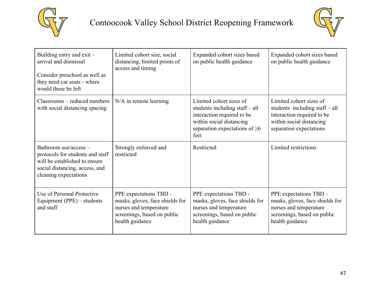



| Building entry and $exit$ –<br>arrival and dismissal<br>Consider preschool as well as<br>they need car seats - where<br>would these be left           | Limited cohort size, social<br>distancing, limited points of<br>access and timing                                                     | Expanded cohort sizes based<br>on public health guidance                                                                                                           | Expanded cohort sizes based<br>on public health guidance                                                                                       |
|-------------------------------------------------------------------------------------------------------------------------------------------------------|---------------------------------------------------------------------------------------------------------------------------------------|--------------------------------------------------------------------------------------------------------------------------------------------------------------------|------------------------------------------------------------------------------------------------------------------------------------------------|
| Classrooms – reduced numbers<br>with social distancing spacing                                                                                        | $N/A$ in remote learning                                                                                                              | Limited cohort sizes of<br>students including staff – all<br>interaction required to be<br>within social distancing<br>separation expectations of $\geq 6$<br>feet | Limited cohort sizes of<br>students including staff - all<br>interaction required to be<br>within social distancing<br>separation expectations |
| Bathroom use/access -<br>protocols for students and staff<br>will be established to ensure<br>social distancing, access, and<br>cleaning expectations | Strongly enforced and<br>restricted                                                                                                   | Restricted                                                                                                                                                         | Limited restrictions                                                                                                                           |
| Use of Personal Protective<br>Equipment (PPE) – students<br>and staff                                                                                 | PPE expectations TBD -<br>masks, gloves, face shields for<br>nurses and temperature<br>screenings, based on public<br>health guidance | PPE expectations TBD -<br>masks, gloves, face shields for<br>nurses and temperature<br>screenings, based on public<br>health guidance                              | PPE expectations TBD -<br>masks, gloves, face shields for<br>nurses and temperature<br>screenings, based on public<br>health guidance          |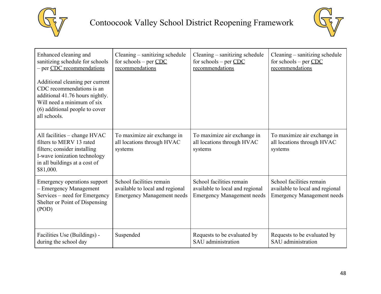



| Enhanced cleaning and<br>sanitizing schedule for schools<br>- per CDC recommendations                                                                                           | Cleaning – sanitizing schedule<br>for schools – per $CDC$<br>recommendations                     | Cleaning – sanitizing schedule<br>for schools – per $CDC$<br>recommendations                     | Cleaning – sanitizing schedule<br>for schools – per $CDC$<br>recommendations                     |
|---------------------------------------------------------------------------------------------------------------------------------------------------------------------------------|--------------------------------------------------------------------------------------------------|--------------------------------------------------------------------------------------------------|--------------------------------------------------------------------------------------------------|
| Additional cleaning per current<br>CDC recommendations is an<br>additional 41.76 hours nightly.<br>Will need a minimum of six<br>(6) additional people to cover<br>all schools. |                                                                                                  |                                                                                                  |                                                                                                  |
| All facilities $-$ change $HVAC$<br>filters to MERV 13 rated<br>filters; consider installing<br>I-wave ionization technology<br>in all buildings at a cost of<br>\$81,000.      | To maximize air exchange in<br>all locations through HVAC<br>systems                             | To maximize air exchange in<br>all locations through HVAC<br>systems                             | To maximize air exchange in<br>all locations through HVAC<br>systems                             |
| Emergency operations support<br>- Emergency Management<br>Services – need for Emergency<br>Shelter or Point of Dispensing<br>(POD)                                              | School facilities remain<br>available to local and regional<br><b>Emergency Management needs</b> | School facilities remain<br>available to local and regional<br><b>Emergency Management needs</b> | School facilities remain<br>available to local and regional<br><b>Emergency Management needs</b> |
| Facilities Use (Buildings) -<br>during the school day                                                                                                                           | Suspended                                                                                        | Requests to be evaluated by<br>SAU administration                                                | Requests to be evaluated by<br>SAU administration                                                |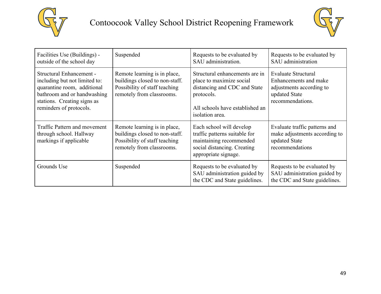



| Facilities Use (Buildings) -<br>outside of the school day                                                                                                                                | Suspended                                                                                                                    | Requests to be evaluated by<br>SAU administration.                                                                                                             | Requests to be evaluated by<br>SAU administration                                                             |
|------------------------------------------------------------------------------------------------------------------------------------------------------------------------------------------|------------------------------------------------------------------------------------------------------------------------------|----------------------------------------------------------------------------------------------------------------------------------------------------------------|---------------------------------------------------------------------------------------------------------------|
| <b>Structural Enhancement -</b><br>including but not limited to:<br>quarantine room, additional<br>bathroom and or handwashing<br>stations. Creating signs as<br>reminders of protocols. | Remote learning is in place,<br>buildings closed to non-staff.<br>Possibility of staff teaching<br>remotely from classrooms. | Structural enhancements are in<br>place to maximize social<br>distancing and CDC and State<br>protocols.<br>All schools have established an<br>isolation area. | Evaluate Structural<br>Enhancements and make<br>adjustments according to<br>updated State<br>recommendations. |
| Traffic Pattern and movement<br>through school. Hallway<br>markings if applicable                                                                                                        | Remote learning is in place,<br>buildings closed to non-staff.<br>Possibility of staff teaching<br>remotely from classrooms. | Each school will develop<br>traffic patterns suitable for<br>maintaining recommended<br>social distancing. Creating<br>appropriate signage.                    | Evaluate traffic patterns and<br>make adjustments according to<br>updated State<br>recommendations            |
| Grounds Use                                                                                                                                                                              | Suspended                                                                                                                    | Requests to be evaluated by<br>SAU administration guided by<br>the CDC and State guidelines.                                                                   | Requests to be evaluated by<br>SAU administration guided by<br>the CDC and State guidelines.                  |